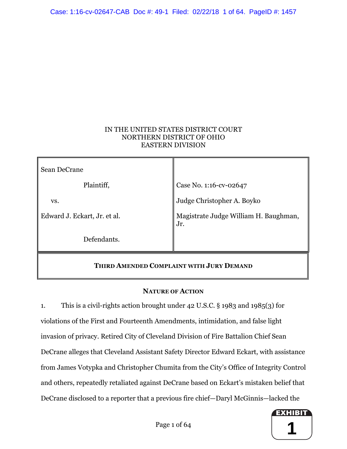# IN THE UNITED STATES DISTRICT COURT NORTHERN DISTRICT OF OHIO EASTERN DIVISION

| Sean DeCrane                             |                                              |
|------------------------------------------|----------------------------------------------|
| Plaintiff,                               | Case No. 1:16-cv-02647                       |
| VS.                                      | Judge Christopher A. Boyko                   |
| Edward J. Eckart, Jr. et al.             | Magistrate Judge William H. Baughman,<br>Jr. |
| Defendants.                              |                                              |
| THIRD AMENDED COMPLAINT WITH JURY DEMAND |                                              |

# **NATURE OF ACTION**

1. This is a civil-rights action brought under 42 U.S.C. § 1983 and 1985(3) for violations of the First and Fourteenth Amendments, intimidation, and false light invasion of privacy. Retired City of Cleveland Division of Fire Battalion Chief Sean DeCrane alleges that Cleveland Assistant Safety Director Edward Eckart, with assistance from James Votypka and Christopher Chumita from the City's Office of Integrity Control and others, repeatedly retaliated against DeCrane based on Eckart's mistaken belief that DeCrane disclosed to a reporter that a previous fire chief—Daryl McGinnis—lacked the

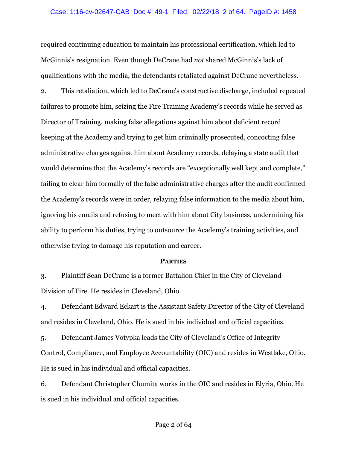#### Case: 1:16-cv-02647-CAB Doc #: 49-1 Filed: 02/22/18 2 of 64. PageID #: 1458

required continuing education to maintain his professional certification, which led to McGinnis's resignation. Even though DeCrane had *not* shared McGinnis's lack of qualifications with the media, the defendants retaliated against DeCrane nevertheless.

2. This retaliation, which led to DeCrane's constructive discharge, included repeated failures to promote him, seizing the Fire Training Academy's records while he served as Director of Training, making false allegations against him about deficient record keeping at the Academy and trying to get him criminally prosecuted, concocting false administrative charges against him about Academy records, delaying a state audit that would determine that the Academy's records are "exceptionally well kept and complete," failing to clear him formally of the false administrative charges after the audit confirmed the Academy's records were in order, relaying false information to the media about him, ignoring his emails and refusing to meet with him about City business, undermining his ability to perform his duties, trying to outsource the Academy's training activities, and otherwise trying to damage his reputation and career.

#### **PARTIES**

3. Plaintiff Sean DeCrane is a former Battalion Chief in the City of Cleveland Division of Fire. He resides in Cleveland, Ohio.

4. Defendant Edward Eckart is the Assistant Safety Director of the City of Cleveland and resides in Cleveland, Ohio. He is sued in his individual and official capacities.

5. Defendant James Votypka leads the City of Cleveland's Office of Integrity Control, Compliance, and Employee Accountability (OIC) and resides in Westlake, Ohio. He is sued in his individual and official capacities.

6. Defendant Christopher Chumita works in the OIC and resides in Elyria, Ohio. He is sued in his individual and official capacities.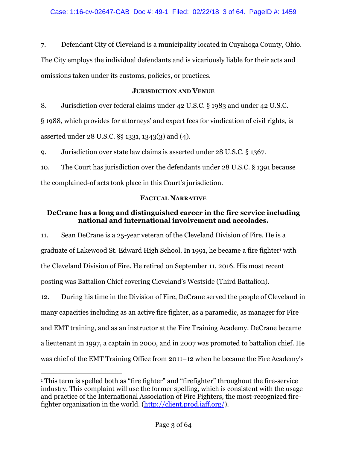7. Defendant City of Cleveland is a municipality located in Cuyahoga County, Ohio. The City employs the individual defendants and is vicariously liable for their acts and omissions taken under its customs, policies, or practices.

### **JURISDICTION AND VENUE**

8. Jurisdiction over federal claims under 42 U.S.C. § 1983 and under 42 U.S.C. § 1988, which provides for attorneys' and expert fees for vindication of civil rights, is asserted under 28 U.S.C. §§ 1331, 1343(3) and (4).

9. Jurisdiction over state law claims is asserted under 28 U.S.C. § 1367.

10. The Court has jurisdiction over the defendants under 28 U.S.C. § 1391 because the complained-of acts took place in this Court's jurisdiction.

## **FACTUAL NARRATIVE**

# **DeCrane has a long and distinguished career in the fire service including national and international involvement and accolades.**

11. Sean DeCrane is a 25-year veteran of the Cleveland Division of Fire. He is a graduate of Lakewood St. Edward High School. In 1991, he became a fire fighter<sup>1</sup> with the Cleveland Division of Fire. He retired on September 11, 2016. His most recent posting was Battalion Chief covering Cleveland's Westside (Third Battalion).

12. During his time in the Division of Fire, DeCrane served the people of Cleveland in many capacities including as an active fire fighter, as a paramedic, as manager for Fire and EMT training, and as an instructor at the Fire Training Academy. DeCrane became a lieutenant in 1997, a captain in 2000, and in 2007 was promoted to battalion chief. He was chief of the EMT Training Office from 2011–12 when he became the Fire Academy's

 <sup>1</sup> This term is spelled both as "fire fighter" and "firefighter" throughout the fire-service industry. This complaint will use the former spelling, which is consistent with the usage and practice of the International Association of Fire Fighters, the most-recognized firefighter organization in the world. (http://client.prod.iaff.org/).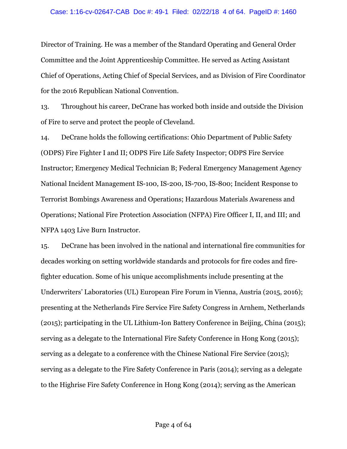#### Case: 1:16-cv-02647-CAB Doc #: 49-1 Filed: 02/22/18 4 of 64. PageID #: 1460

Director of Training. He was a member of the Standard Operating and General Order Committee and the Joint Apprenticeship Committee. He served as Acting Assistant Chief of Operations, Acting Chief of Special Services, and as Division of Fire Coordinator for the 2016 Republican National Convention.

13. Throughout his career, DeCrane has worked both inside and outside the Division of Fire to serve and protect the people of Cleveland.

14. DeCrane holds the following certifications: Ohio Department of Public Safety (ODPS) Fire Fighter I and II; ODPS Fire Life Safety Inspector; ODPS Fire Service Instructor; Emergency Medical Technician B; Federal Emergency Management Agency National Incident Management IS-100, IS-200, IS-700, IS-800; Incident Response to Terrorist Bombings Awareness and Operations; Hazardous Materials Awareness and Operations; National Fire Protection Association (NFPA) Fire Officer I, II, and III; and NFPA 1403 Live Burn Instructor.

15. DeCrane has been involved in the national and international fire communities for decades working on setting worldwide standards and protocols for fire codes and firefighter education. Some of his unique accomplishments include presenting at the Underwriters' Laboratories (UL) European Fire Forum in Vienna, Austria (2015, 2016); presenting at the Netherlands Fire Service Fire Safety Congress in Arnhem, Netherlands (2015); participating in the UL Lithium-Ion Battery Conference in Beijing, China (2015); serving as a delegate to the International Fire Safety Conference in Hong Kong (2015); serving as a delegate to a conference with the Chinese National Fire Service (2015); serving as a delegate to the Fire Safety Conference in Paris (2014); serving as a delegate to the Highrise Fire Safety Conference in Hong Kong (2014); serving as the American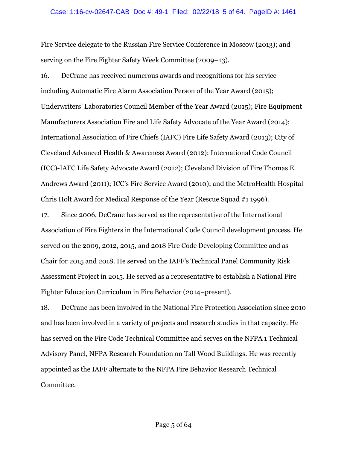#### Case: 1:16-cv-02647-CAB Doc #: 49-1 Filed: 02/22/18 5 of 64. PageID #: 1461

Fire Service delegate to the Russian Fire Service Conference in Moscow (2013); and serving on the Fire Fighter Safety Week Committee (2009–13).

16. DeCrane has received numerous awards and recognitions for his service including Automatic Fire Alarm Association Person of the Year Award (2015); Underwriters' Laboratories Council Member of the Year Award (2015); Fire Equipment Manufacturers Association Fire and Life Safety Advocate of the Year Award (2014); International Association of Fire Chiefs (IAFC) Fire Life Safety Award (2013); City of Cleveland Advanced Health & Awareness Award (2012); International Code Council (ICC)-IAFC Life Safety Advocate Award (2012); Cleveland Division of Fire Thomas E. Andrews Award (2011); ICC's Fire Service Award (2010); and the MetroHealth Hospital Chris Holt Award for Medical Response of the Year (Rescue Squad #1 1996).

17. Since 2006, DeCrane has served as the representative of the International Association of Fire Fighters in the International Code Council development process. He served on the 2009, 2012, 2015, and 2018 Fire Code Developing Committee and as Chair for 2015 and 2018. He served on the IAFF's Technical Panel Community Risk Assessment Project in 2015. He served as a representative to establish a National Fire Fighter Education Curriculum in Fire Behavior (2014–present).

18. DeCrane has been involved in the National Fire Protection Association since 2010 and has been involved in a variety of projects and research studies in that capacity. He has served on the Fire Code Technical Committee and serves on the NFPA 1 Technical Advisory Panel, NFPA Research Foundation on Tall Wood Buildings. He was recently appointed as the IAFF alternate to the NFPA Fire Behavior Research Technical Committee.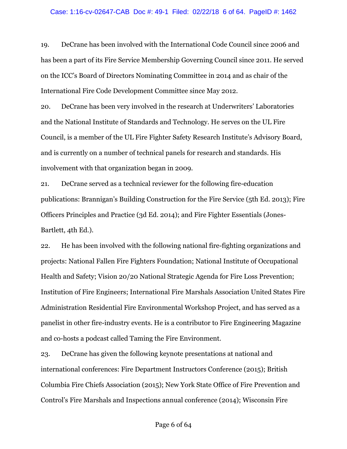19. DeCrane has been involved with the International Code Council since 2006 and has been a part of its Fire Service Membership Governing Council since 2011. He served on the ICC's Board of Directors Nominating Committee in 2014 and as chair of the International Fire Code Development Committee since May 2012.

20. DeCrane has been very involved in the research at Underwriters' Laboratories and the National Institute of Standards and Technology. He serves on the UL Fire Council, is a member of the UL Fire Fighter Safety Research Institute's Advisory Board, and is currently on a number of technical panels for research and standards. His involvement with that organization began in 2009.

21. DeCrane served as a technical reviewer for the following fire-education publications: Brannigan's Building Construction for the Fire Service (5th Ed. 2013); Fire Officers Principles and Practice (3d Ed. 2014); and Fire Fighter Essentials (Jones-Bartlett, 4th Ed.).

22. He has been involved with the following national fire-fighting organizations and projects: National Fallen Fire Fighters Foundation; National Institute of Occupational Health and Safety; Vision 20/20 National Strategic Agenda for Fire Loss Prevention; Institution of Fire Engineers; International Fire Marshals Association United States Fire Administration Residential Fire Environmental Workshop Project, and has served as a panelist in other fire-industry events. He is a contributor to Fire Engineering Magazine and co-hosts a podcast called Taming the Fire Environment.

23. DeCrane has given the following keynote presentations at national and international conferences: Fire Department Instructors Conference (2015); British Columbia Fire Chiefs Association (2015); New York State Office of Fire Prevention and Control's Fire Marshals and Inspections annual conference (2014); Wisconsin Fire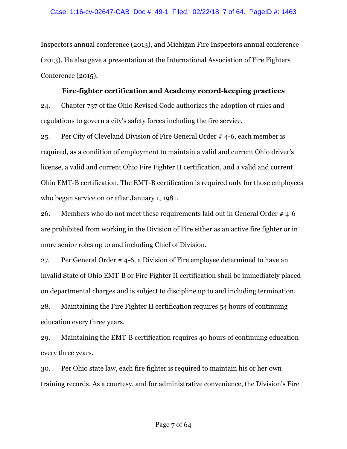Inspectors annual conference (2013), and Michigan Fire Inspectors annual conference (2013). He also gave a presentation at the International Association of Fire Fighters Conference (2015).

### **Fire-fighter certification and Academy record-keeping practices**

24. Chapter 737 of the Ohio Revised Code authorizes the adoption of rules and regulations to govern a city's safety forces including the fire service.

25. Per City of Cleveland Division of Fire General Order # 4-6, each member is required, as a condition of employment to maintain a valid and current Ohio driver's license, a valid and current Ohio Fire Fighter II certification, and a valid and current Ohio EMT-B certification. The EMT-B certification is required only for those employees who began service on or after January 1, 1981.

26. Members who do not meet these requirements laid out in General Order # 4-6 are prohibited from working in the Division of Fire either as an active fire fighter or in more senior roles up to and including Chief of Division.

27. Per General Order # 4-6, a Division of Fire employee determined to have an invalid State of Ohio EMT-B or Fire Fighter II certification shall be immediately placed on departmental charges and is subject to discipline up to and including termination.

28. Maintaining the Fire Fighter II certification requires 54 hours of continuing education every three years.

29. Maintaining the EMT-B certification requires 40 hours of continuing education every three years.

30. Per Ohio state law, each fire fighter is required to maintain his or her own training records. As a courtesy, and for administrative convenience, the Division's Fire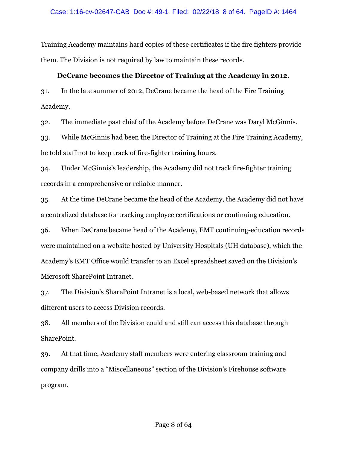Training Academy maintains hard copies of these certificates if the fire fighters provide them. The Division is not required by law to maintain these records.

#### **DeCrane becomes the Director of Training at the Academy in 2012.**

31. In the late summer of 2012, DeCrane became the head of the Fire Training Academy.

32. The immediate past chief of the Academy before DeCrane was Daryl McGinnis.

33. While McGinnis had been the Director of Training at the Fire Training Academy, he told staff not to keep track of fire-fighter training hours.

34. Under McGinnis's leadership, the Academy did not track fire-fighter training records in a comprehensive or reliable manner.

35. At the time DeCrane became the head of the Academy, the Academy did not have a centralized database for tracking employee certifications or continuing education.

36. When DeCrane became head of the Academy, EMT continuing-education records were maintained on a website hosted by University Hospitals (UH database), which the Academy's EMT Office would transfer to an Excel spreadsheet saved on the Division's Microsoft SharePoint Intranet.

37. The Division's SharePoint Intranet is a local, web-based network that allows different users to access Division records.

38. All members of the Division could and still can access this database through SharePoint.

39. At that time, Academy staff members were entering classroom training and company drills into a "Miscellaneous" section of the Division's Firehouse software program.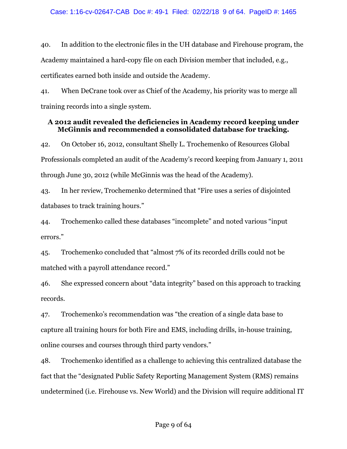40. In addition to the electronic files in the UH database and Firehouse program, the Academy maintained a hard-copy file on each Division member that included, e.g., certificates earned both inside and outside the Academy.

41. When DeCrane took over as Chief of the Academy, his priority was to merge all training records into a single system.

## **A 2012 audit revealed the deficiencies in Academy record keeping under McGinnis and recommended a consolidated database for tracking.**

42. On October 16, 2012, consultant Shelly L. Trochemenko of Resources Global Professionals completed an audit of the Academy's record keeping from January 1, 2011 through June 30, 2012 (while McGinnis was the head of the Academy).

43. In her review, Trochemenko determined that "Fire uses a series of disjointed databases to track training hours."

44. Trochemenko called these databases "incomplete" and noted various "input errors."

45. Trochemenko concluded that "almost 7% of its recorded drills could not be matched with a payroll attendance record."

46. She expressed concern about "data integrity" based on this approach to tracking records.

47. Trochemenko's recommendation was "the creation of a single data base to capture all training hours for both Fire and EMS, including drills, in-house training, online courses and courses through third party vendors."

48. Trochemenko identified as a challenge to achieving this centralized database the fact that the "designated Public Safety Reporting Management System (RMS) remains undetermined (i.e. Firehouse vs. New World) and the Division will require additional IT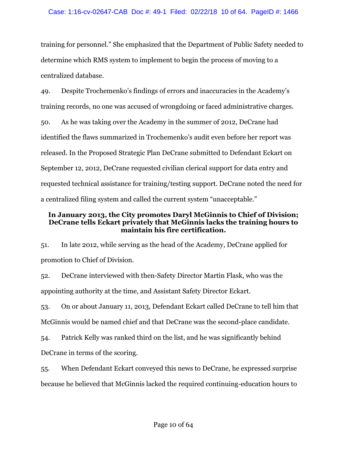training for personnel." She emphasized that the Department of Public Safety needed to determine which RMS system to implement to begin the process of moving to a centralized database.

49. Despite Trochemenko's findings of errors and inaccuracies in the Academy's training records, no one was accused of wrongdoing or faced administrative charges. 50. As he was taking over the Academy in the summer of 2012, DeCrane had identified the flaws summarized in Trochemenko's audit even before her report was released. In the Proposed Strategic Plan DeCrane submitted to Defendant Eckart on September 12, 2012, DeCrane requested civilian clerical support for data entry and requested technical assistance for training/testing support. DeCrane noted the need for a centralized filing system and called the current system "unacceptable."

## **In January 2013, the City promotes Daryl McGinnis to Chief of Division; DeCrane tells Eckart privately that McGinnis lacks the training hours to maintain his fire certification.**

51. In late 2012, while serving as the head of the Academy, DeCrane applied for promotion to Chief of Division.

52. DeCrane interviewed with then-Safety Director Martin Flask, who was the appointing authority at the time, and Assistant Safety Director Eckart.

53. On or about January 11, 2013, Defendant Eckart called DeCrane to tell him that McGinnis would be named chief and that DeCrane was the second-place candidate.

54. Patrick Kelly was ranked third on the list, and he was significantly behind DeCrane in terms of the scoring.

55. When Defendant Eckart conveyed this news to DeCrane, he expressed surprise because he believed that McGinnis lacked the required continuing-education hours to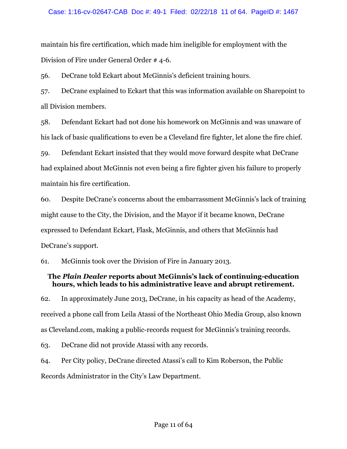maintain his fire certification, which made him ineligible for employment with the Division of Fire under General Order # 4-6.

56. DeCrane told Eckart about McGinnis's deficient training hours.

57. DeCrane explained to Eckart that this was information available on Sharepoint to all Division members.

58. Defendant Eckart had not done his homework on McGinnis and was unaware of his lack of basic qualifications to even be a Cleveland fire fighter, let alone the fire chief.

59. Defendant Eckart insisted that they would move forward despite what DeCrane had explained about McGinnis not even being a fire fighter given his failure to properly maintain his fire certification.

60. Despite DeCrane's concerns about the embarrassment McGinnis's lack of training might cause to the City, the Division, and the Mayor if it became known, DeCrane expressed to Defendant Eckart, Flask, McGinnis, and others that McGinnis had DeCrane's support.

61. McGinnis took over the Division of Fire in January 2013.

# **The** *Plain Dealer* **reports about McGinnis's lack of continuing-education hours, which leads to his administrative leave and abrupt retirement.**

62. In approximately June 2013, DeCrane, in his capacity as head of the Academy, received a phone call from Leila Atassi of the Northeast Ohio Media Group, also known as Cleveland.com, making a public-records request for McGinnis's training records.

63. DeCrane did not provide Atassi with any records.

64. Per City policy, DeCrane directed Atassi's call to Kim Roberson, the Public Records Administrator in the City's Law Department.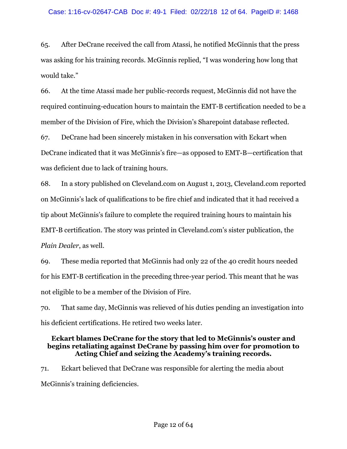65. After DeCrane received the call from Atassi, he notified McGinnis that the press was asking for his training records. McGinnis replied, "I was wondering how long that would take."

66. At the time Atassi made her public-records request, McGinnis did not have the required continuing-education hours to maintain the EMT-B certification needed to be a member of the Division of Fire, which the Division's Sharepoint database reflected.

67. DeCrane had been sincerely mistaken in his conversation with Eckart when DeCrane indicated that it was McGinnis's fire—as opposed to EMT-B—certification that was deficient due to lack of training hours.

68. In a story published on Cleveland.com on August 1, 2013, Cleveland.com reported on McGinnis's lack of qualifications to be fire chief and indicated that it had received a tip about McGinnis's failure to complete the required training hours to maintain his EMT-B certification. The story was printed in Cleveland.com's sister publication, the *Plain Dealer*, as well.

69. These media reported that McGinnis had only 22 of the 40 credit hours needed for his EMT-B certification in the preceding three-year period. This meant that he was not eligible to be a member of the Division of Fire.

70. That same day, McGinnis was relieved of his duties pending an investigation into his deficient certifications. He retired two weeks later.

### **Eckart blames DeCrane for the story that led to McGinnis's ouster and begins retaliating against DeCrane by passing him over for promotion to Acting Chief and seizing the Academy's training records.**

71. Eckart believed that DeCrane was responsible for alerting the media about McGinnis's training deficiencies.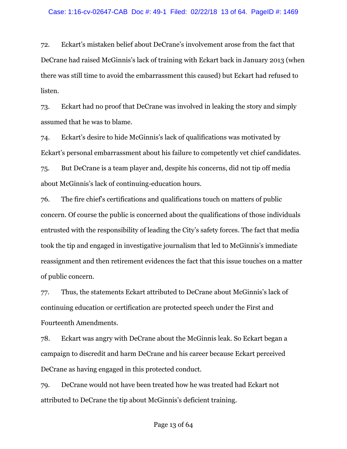72. Eckart's mistaken belief about DeCrane's involvement arose from the fact that DeCrane had raised McGinnis's lack of training with Eckart back in January 2013 (when there was still time to avoid the embarrassment this caused) but Eckart had refused to listen.

73. Eckart had no proof that DeCrane was involved in leaking the story and simply assumed that he was to blame.

74. Eckart's desire to hide McGinnis's lack of qualifications was motivated by Eckart's personal embarrassment about his failure to competently vet chief candidates.

75. But DeCrane is a team player and, despite his concerns, did not tip off media about McGinnis's lack of continuing-education hours.

76. The fire chief's certifications and qualifications touch on matters of public concern. Of course the public is concerned about the qualifications of those individuals entrusted with the responsibility of leading the City's safety forces. The fact that media took the tip and engaged in investigative journalism that led to McGinnis's immediate reassignment and then retirement evidences the fact that this issue touches on a matter of public concern.

77. Thus, the statements Eckart attributed to DeCrane about McGinnis's lack of continuing education or certification are protected speech under the First and Fourteenth Amendments.

78. Eckart was angry with DeCrane about the McGinnis leak. So Eckart began a campaign to discredit and harm DeCrane and his career because Eckart perceived DeCrane as having engaged in this protected conduct.

79. DeCrane would not have been treated how he was treated had Eckart not attributed to DeCrane the tip about McGinnis's deficient training.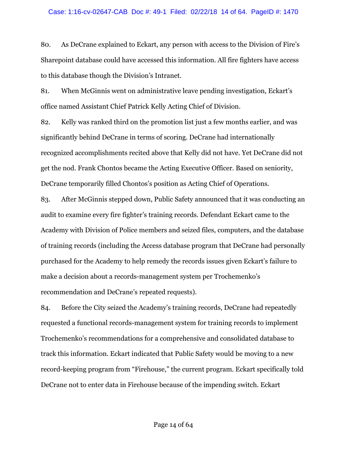80. As DeCrane explained to Eckart, any person with access to the Division of Fire's Sharepoint database could have accessed this information. All fire fighters have access to this database though the Division's Intranet.

81. When McGinnis went on administrative leave pending investigation, Eckart's office named Assistant Chief Patrick Kelly Acting Chief of Division.

82. Kelly was ranked third on the promotion list just a few months earlier, and was significantly behind DeCrane in terms of scoring. DeCrane had internationally recognized accomplishments recited above that Kelly did not have. Yet DeCrane did not get the nod. Frank Chontos became the Acting Executive Officer. Based on seniority, DeCrane temporarily filled Chontos's position as Acting Chief of Operations.

83. After McGinnis stepped down, Public Safety announced that it was conducting an audit to examine every fire fighter's training records. Defendant Eckart came to the Academy with Division of Police members and seized files, computers, and the database of training records (including the Access database program that DeCrane had personally purchased for the Academy to help remedy the records issues given Eckart's failure to make a decision about a records-management system per Trochemenko's recommendation and DeCrane's repeated requests).

84. Before the City seized the Academy's training records, DeCrane had repeatedly requested a functional records-management system for training records to implement Trochemenko's recommendations for a comprehensive and consolidated database to track this information. Eckart indicated that Public Safety would be moving to a new record-keeping program from "Firehouse," the current program. Eckart specifically told DeCrane not to enter data in Firehouse because of the impending switch. Eckart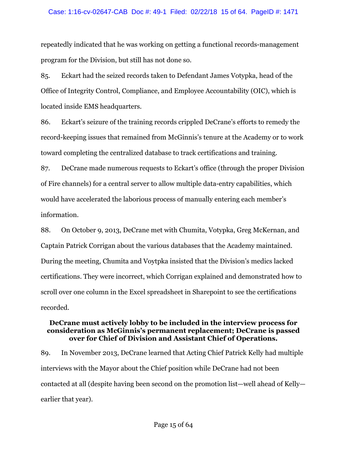#### Case: 1:16-cv-02647-CAB Doc #: 49-1 Filed: 02/22/18 15 of 64. PageID #: 1471

repeatedly indicated that he was working on getting a functional records-management program for the Division, but still has not done so.

85. Eckart had the seized records taken to Defendant James Votypka, head of the Office of Integrity Control, Compliance, and Employee Accountability (OIC), which is located inside EMS headquarters.

86. Eckart's seizure of the training records crippled DeCrane's efforts to remedy the record-keeping issues that remained from McGinnis's tenure at the Academy or to work toward completing the centralized database to track certifications and training.

87. DeCrane made numerous requests to Eckart's office (through the proper Division of Fire channels) for a central server to allow multiple data-entry capabilities, which would have accelerated the laborious process of manually entering each member's information.

88. On October 9, 2013, DeCrane met with Chumita, Votypka, Greg McKernan, and Captain Patrick Corrigan about the various databases that the Academy maintained. During the meeting, Chumita and Voytpka insisted that the Division's medics lacked certifications. They were incorrect, which Corrigan explained and demonstrated how to scroll over one column in the Excel spreadsheet in Sharepoint to see the certifications recorded.

#### **DeCrane must actively lobby to be included in the interview process for consideration as McGinnis's permanent replacement; DeCrane is passed over for Chief of Division and Assistant Chief of Operations.**

89. In November 2013, DeCrane learned that Acting Chief Patrick Kelly had multiple interviews with the Mayor about the Chief position while DeCrane had not been contacted at all (despite having been second on the promotion list—well ahead of Kelly earlier that year).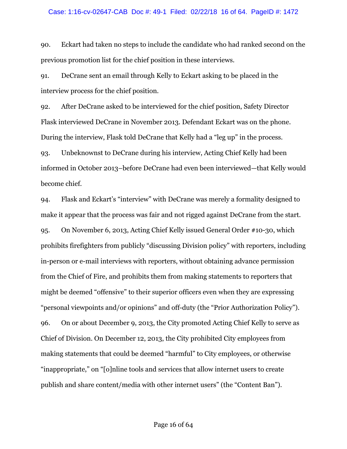90. Eckart had taken no steps to include the candidate who had ranked second on the previous promotion list for the chief position in these interviews.

91. DeCrane sent an email through Kelly to Eckart asking to be placed in the interview process for the chief position.

92. After DeCrane asked to be interviewed for the chief position, Safety Director Flask interviewed DeCrane in November 2013. Defendant Eckart was on the phone. During the interview, Flask told DeCrane that Kelly had a "leg up" in the process.

93. Unbeknownst to DeCrane during his interview, Acting Chief Kelly had been informed in October 2013–before DeCrane had even been interviewed—that Kelly would become chief.

94. Flask and Eckart's "interview" with DeCrane was merely a formality designed to make it appear that the process was fair and not rigged against DeCrane from the start. 95. On November 6, 2013, Acting Chief Kelly issued General Order #10-30, which prohibits firefighters from publicly "discussing Division policy" with reporters, including in-person or e-mail interviews with reporters, without obtaining advance permission from the Chief of Fire, and prohibits them from making statements to reporters that might be deemed "offensive" to their superior officers even when they are expressing "personal viewpoints and/or opinions" and off-duty (the "Prior Authorization Policy"). 96. On or about December 9, 2013, the City promoted Acting Chief Kelly to serve as Chief of Division. On December 12, 2013, the City prohibited City employees from making statements that could be deemed "harmful" to City employees, or otherwise "inappropriate," on "[o]nline tools and services that allow internet users to create publish and share content/media with other internet users" (the "Content Ban").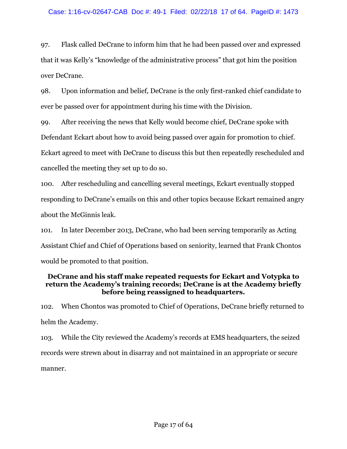97. Flask called DeCrane to inform him that he had been passed over and expressed that it was Kelly's "knowledge of the administrative process" that got him the position over DeCrane.

98. Upon information and belief, DeCrane is the only first-ranked chief candidate to ever be passed over for appointment during his time with the Division.

99. After receiving the news that Kelly would become chief, DeCrane spoke with Defendant Eckart about how to avoid being passed over again for promotion to chief. Eckart agreed to meet with DeCrane to discuss this but then repeatedly rescheduled and cancelled the meeting they set up to do so.

100. After rescheduling and cancelling several meetings, Eckart eventually stopped responding to DeCrane's emails on this and other topics because Eckart remained angry about the McGinnis leak.

101. In later December 2013, DeCrane, who had been serving temporarily as Acting Assistant Chief and Chief of Operations based on seniority, learned that Frank Chontos would be promoted to that position.

## **DeCrane and his staff make repeated requests for Eckart and Votypka to return the Academy's training records; DeCrane is at the Academy briefly before being reassigned to headquarters.**

102. When Chontos was promoted to Chief of Operations, DeCrane briefly returned to helm the Academy.

103. While the City reviewed the Academy's records at EMS headquarters, the seized records were strewn about in disarray and not maintained in an appropriate or secure manner.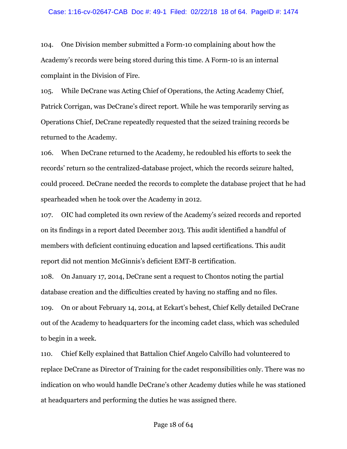104. One Division member submitted a Form-10 complaining about how the Academy's records were being stored during this time. A Form-10 is an internal complaint in the Division of Fire.

105. While DeCrane was Acting Chief of Operations, the Acting Academy Chief, Patrick Corrigan, was DeCrane's direct report. While he was temporarily serving as Operations Chief, DeCrane repeatedly requested that the seized training records be returned to the Academy.

106. When DeCrane returned to the Academy, he redoubled his efforts to seek the records' return so the centralized-database project, which the records seizure halted, could proceed. DeCrane needed the records to complete the database project that he had spearheaded when he took over the Academy in 2012.

107. OIC had completed its own review of the Academy's seized records and reported on its findings in a report dated December 2013. This audit identified a handful of members with deficient continuing education and lapsed certifications. This audit report did not mention McGinnis's deficient EMT-B certification.

108. On January 17, 2014, DeCrane sent a request to Chontos noting the partial database creation and the difficulties created by having no staffing and no files.

109. On or about February 14, 2014, at Eckart's behest, Chief Kelly detailed DeCrane out of the Academy to headquarters for the incoming cadet class, which was scheduled to begin in a week.

110. Chief Kelly explained that Battalion Chief Angelo Calvillo had volunteered to replace DeCrane as Director of Training for the cadet responsibilities only. There was no indication on who would handle DeCrane's other Academy duties while he was stationed at headquarters and performing the duties he was assigned there.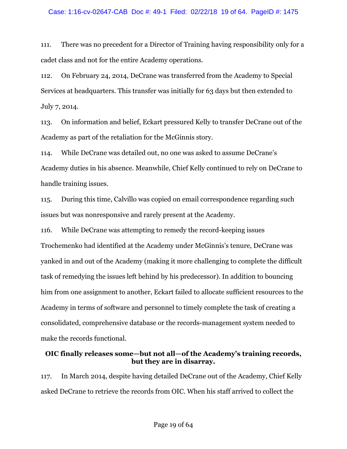111. There was no precedent for a Director of Training having responsibility only for a cadet class and not for the entire Academy operations.

112. On February 24, 2014, DeCrane was transferred from the Academy to Special Services at headquarters. This transfer was initially for 63 days but then extended to July 7, 2014.

113. On information and belief, Eckart pressured Kelly to transfer DeCrane out of the Academy as part of the retaliation for the McGinnis story.

114. While DeCrane was detailed out, no one was asked to assume DeCrane's Academy duties in his absence. Meanwhile, Chief Kelly continued to rely on DeCrane to handle training issues.

115. During this time, Calvillo was copied on email correspondence regarding such issues but was nonresponsive and rarely present at the Academy.

116. While DeCrane was attempting to remedy the record-keeping issues Trochemenko had identified at the Academy under McGinnis's tenure, DeCrane was yanked in and out of the Academy (making it more challenging to complete the difficult task of remedying the issues left behind by his predecessor). In addition to bouncing him from one assignment to another, Eckart failed to allocate sufficient resources to the Academy in terms of software and personnel to timely complete the task of creating a consolidated, comprehensive database or the records-management system needed to make the records functional.

## **OIC finally releases some—but not all—of the Academy's training records, but they are in disarray.**

117. In March 2014, despite having detailed DeCrane out of the Academy, Chief Kelly asked DeCrane to retrieve the records from OIC. When his staff arrived to collect the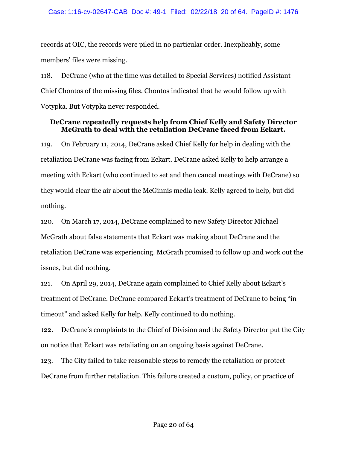records at OIC, the records were piled in no particular order. Inexplicably, some members' files were missing.

118. DeCrane (who at the time was detailed to Special Services) notified Assistant Chief Chontos of the missing files. Chontos indicated that he would follow up with Votypka. But Votypka never responded.

## **DeCrane repeatedly requests help from Chief Kelly and Safety Director McGrath to deal with the retaliation DeCrane faced from Eckart.**

119. On February 11, 2014, DeCrane asked Chief Kelly for help in dealing with the retaliation DeCrane was facing from Eckart. DeCrane asked Kelly to help arrange a meeting with Eckart (who continued to set and then cancel meetings with DeCrane) so they would clear the air about the McGinnis media leak. Kelly agreed to help, but did nothing.

120. On March 17, 2014, DeCrane complained to new Safety Director Michael McGrath about false statements that Eckart was making about DeCrane and the retaliation DeCrane was experiencing. McGrath promised to follow up and work out the issues, but did nothing.

121. On April 29, 2014, DeCrane again complained to Chief Kelly about Eckart's treatment of DeCrane. DeCrane compared Eckart's treatment of DeCrane to being "in timeout" and asked Kelly for help. Kelly continued to do nothing.

122. DeCrane's complaints to the Chief of Division and the Safety Director put the City on notice that Eckart was retaliating on an ongoing basis against DeCrane.

123. The City failed to take reasonable steps to remedy the retaliation or protect DeCrane from further retaliation. This failure created a custom, policy, or practice of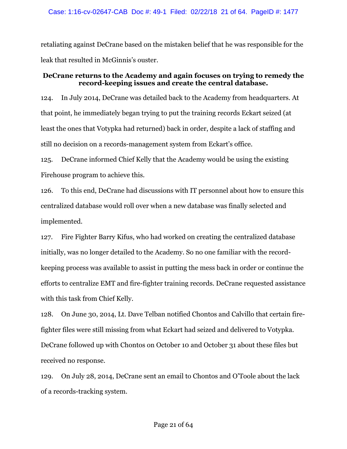retaliating against DeCrane based on the mistaken belief that he was responsible for the leak that resulted in McGinnis's ouster.

## **DeCrane returns to the Academy and again focuses on trying to remedy the record-keeping issues and create the central database.**

124. In July 2014, DeCrane was detailed back to the Academy from headquarters. At that point, he immediately began trying to put the training records Eckart seized (at least the ones that Votypka had returned) back in order, despite a lack of staffing and still no decision on a records-management system from Eckart's office.

125. DeCrane informed Chief Kelly that the Academy would be using the existing Firehouse program to achieve this.

126. To this end, DeCrane had discussions with IT personnel about how to ensure this centralized database would roll over when a new database was finally selected and implemented.

127. Fire Fighter Barry Kifus, who had worked on creating the centralized database initially, was no longer detailed to the Academy. So no one familiar with the recordkeeping process was available to assist in putting the mess back in order or continue the efforts to centralize EMT and fire-fighter training records. DeCrane requested assistance with this task from Chief Kelly.

128. On June 30, 2014, Lt. Dave Telban notified Chontos and Calvillo that certain firefighter files were still missing from what Eckart had seized and delivered to Votypka. DeCrane followed up with Chontos on October 10 and October 31 about these files but received no response.

129. On July 28, 2014, DeCrane sent an email to Chontos and O'Toole about the lack of a records-tracking system.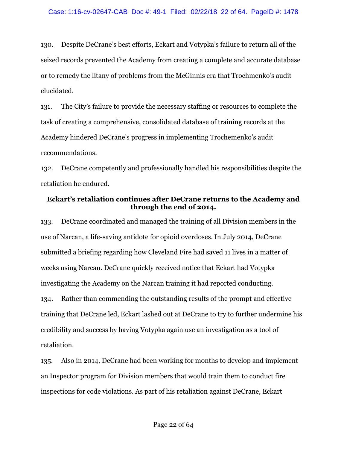130. Despite DeCrane's best efforts, Eckart and Votypka's failure to return all of the seized records prevented the Academy from creating a complete and accurate database or to remedy the litany of problems from the McGinnis era that Trochmenko's audit elucidated.

131. The City's failure to provide the necessary staffing or resources to complete the task of creating a comprehensive, consolidated database of training records at the Academy hindered DeCrane's progress in implementing Trochemenko's audit recommendations.

132. DeCrane competently and professionally handled his responsibilities despite the retaliation he endured.

### **Eckart's retaliation continues after DeCrane returns to the Academy and through the end of 2014.**

133. DeCrane coordinated and managed the training of all Division members in the use of Narcan, a life-saving antidote for opioid overdoses. In July 2014, DeCrane submitted a briefing regarding how Cleveland Fire had saved 11 lives in a matter of weeks using Narcan. DeCrane quickly received notice that Eckart had Votypka investigating the Academy on the Narcan training it had reported conducting. 134. Rather than commending the outstanding results of the prompt and effective training that DeCrane led, Eckart lashed out at DeCrane to try to further undermine his credibility and success by having Votypka again use an investigation as a tool of retaliation.

135. Also in 2014, DeCrane had been working for months to develop and implement an Inspector program for Division members that would train them to conduct fire inspections for code violations. As part of his retaliation against DeCrane, Eckart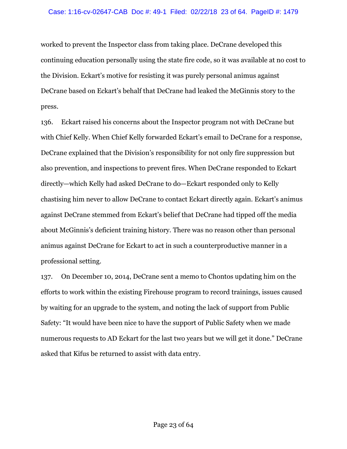worked to prevent the Inspector class from taking place. DeCrane developed this continuing education personally using the state fire code, so it was available at no cost to the Division. Eckart's motive for resisting it was purely personal animus against DeCrane based on Eckart's behalf that DeCrane had leaked the McGinnis story to the press.

136. Eckart raised his concerns about the Inspector program not with DeCrane but with Chief Kelly. When Chief Kelly forwarded Eckart's email to DeCrane for a response, DeCrane explained that the Division's responsibility for not only fire suppression but also prevention, and inspections to prevent fires. When DeCrane responded to Eckart directly—which Kelly had asked DeCrane to do—Eckart responded only to Kelly chastising him never to allow DeCrane to contact Eckart directly again. Eckart's animus against DeCrane stemmed from Eckart's belief that DeCrane had tipped off the media about McGinnis's deficient training history. There was no reason other than personal animus against DeCrane for Eckart to act in such a counterproductive manner in a professional setting.

137. On December 10, 2014, DeCrane sent a memo to Chontos updating him on the efforts to work within the existing Firehouse program to record trainings, issues caused by waiting for an upgrade to the system, and noting the lack of support from Public Safety: "It would have been nice to have the support of Public Safety when we made numerous requests to AD Eckart for the last two years but we will get it done." DeCrane asked that Kifus be returned to assist with data entry.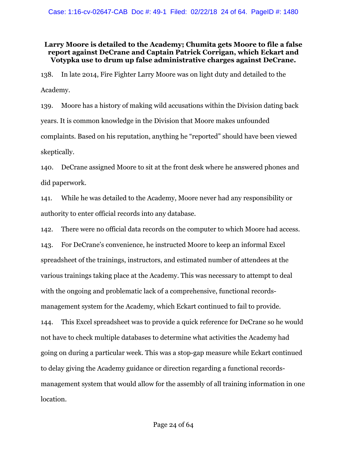## **Larry Moore is detailed to the Academy; Chumita gets Moore to file a false report against DeCrane and Captain Patrick Corrigan, which Eckart and Votypka use to drum up false administrative charges against DeCrane.**

138. In late 2014, Fire Fighter Larry Moore was on light duty and detailed to the Academy.

139. Moore has a history of making wild accusations within the Division dating back years. It is common knowledge in the Division that Moore makes unfounded complaints. Based on his reputation, anything he "reported" should have been viewed skeptically.

140. DeCrane assigned Moore to sit at the front desk where he answered phones and did paperwork.

141. While he was detailed to the Academy, Moore never had any responsibility or authority to enter official records into any database.

142. There were no official data records on the computer to which Moore had access. 143. For DeCrane's convenience, he instructed Moore to keep an informal Excel spreadsheet of the trainings, instructors, and estimated number of attendees at the various trainings taking place at the Academy. This was necessary to attempt to deal with the ongoing and problematic lack of a comprehensive, functional recordsmanagement system for the Academy, which Eckart continued to fail to provide. 144. This Excel spreadsheet was to provide a quick reference for DeCrane so he would not have to check multiple databases to determine what activities the Academy had going on during a particular week. This was a stop-gap measure while Eckart continued to delay giving the Academy guidance or direction regarding a functional recordsmanagement system that would allow for the assembly of all training information in one location.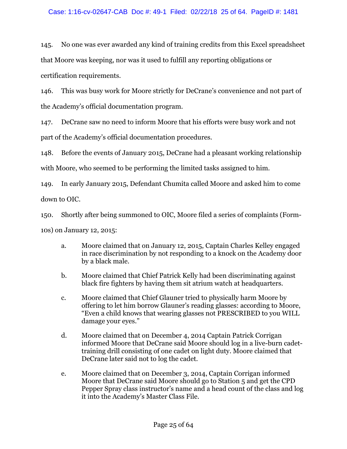145. No one was ever awarded any kind of training credits from this Excel spreadsheet that Moore was keeping, nor was it used to fulfill any reporting obligations or certification requirements.

146. This was busy work for Moore strictly for DeCrane's convenience and not part of the Academy's official documentation program.

147. DeCrane saw no need to inform Moore that his efforts were busy work and not part of the Academy's official documentation procedures.

148. Before the events of January 2015, DeCrane had a pleasant working relationship

with Moore, who seemed to be performing the limited tasks assigned to him.

149. In early January 2015, Defendant Chumita called Moore and asked him to come down to OIC.

150. Shortly after being summoned to OIC, Moore filed a series of complaints (Form-

10s) on January 12, 2015:

- a. Moore claimed that on January 12, 2015, Captain Charles Kelley engaged in race discrimination by not responding to a knock on the Academy door by a black male.
- b. Moore claimed that Chief Patrick Kelly had been discriminating against black fire fighters by having them sit atrium watch at headquarters.
- c. Moore claimed that Chief Glauner tried to physically harm Moore by offering to let him borrow Glauner's reading glasses: according to Moore, "Even a child knows that wearing glasses not PRESCRIBED to you WILL damage your eyes."
- d. Moore claimed that on December 4, 2014 Captain Patrick Corrigan informed Moore that DeCrane said Moore should log in a live-burn cadettraining drill consisting of one cadet on light duty. Moore claimed that DeCrane later said not to log the cadet.
- e. Moore claimed that on December 3, 2014, Captain Corrigan informed Moore that DeCrane said Moore should go to Station 5 and get the CPD Pepper Spray class instructor's name and a head count of the class and log it into the Academy's Master Class File.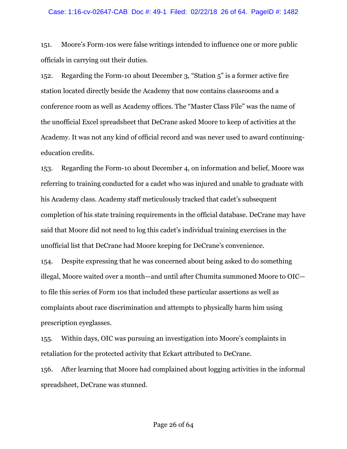151. Moore's Form-10s were false writings intended to influence one or more public officials in carrying out their duties.

152. Regarding the Form-10 about December 3, "Station 5" is a former active fire station located directly beside the Academy that now contains classrooms and a conference room as well as Academy offices. The "Master Class File" was the name of the unofficial Excel spreadsheet that DeCrane asked Moore to keep of activities at the Academy. It was not any kind of official record and was never used to award continuingeducation credits.

153. Regarding the Form-10 about December 4, on information and belief, Moore was referring to training conducted for a cadet who was injured and unable to graduate with his Academy class. Academy staff meticulously tracked that cadet's subsequent completion of his state training requirements in the official database. DeCrane may have said that Moore did not need to log this cadet's individual training exercises in the unofficial list that DeCrane had Moore keeping for DeCrane's convenience.

154. Despite expressing that he was concerned about being asked to do something illegal, Moore waited over a month—and until after Chumita summoned Moore to OIC to file this series of Form 10s that included these particular assertions as well as complaints about race discrimination and attempts to physically harm him using prescription eyeglasses.

155. Within days, OIC was pursuing an investigation into Moore's complaints in retaliation for the protected activity that Eckart attributed to DeCrane.

156. After learning that Moore had complained about logging activities in the informal spreadsheet, DeCrane was stunned.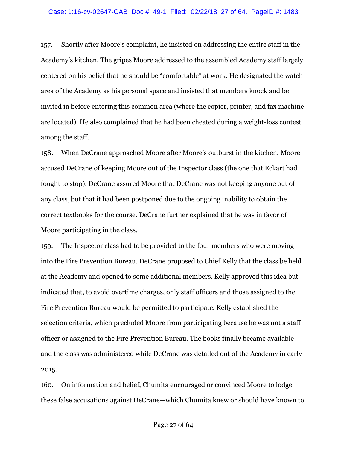#### Case: 1:16-cv-02647-CAB Doc #: 49-1 Filed: 02/22/18 27 of 64. PageID #: 1483

157. Shortly after Moore's complaint, he insisted on addressing the entire staff in the Academy's kitchen. The gripes Moore addressed to the assembled Academy staff largely centered on his belief that he should be "comfortable" at work. He designated the watch area of the Academy as his personal space and insisted that members knock and be invited in before entering this common area (where the copier, printer, and fax machine are located). He also complained that he had been cheated during a weight-loss contest among the staff.

158. When DeCrane approached Moore after Moore's outburst in the kitchen, Moore accused DeCrane of keeping Moore out of the Inspector class (the one that Eckart had fought to stop). DeCrane assured Moore that DeCrane was not keeping anyone out of any class, but that it had been postponed due to the ongoing inability to obtain the correct textbooks for the course. DeCrane further explained that he was in favor of Moore participating in the class.

159. The Inspector class had to be provided to the four members who were moving into the Fire Prevention Bureau. DeCrane proposed to Chief Kelly that the class be held at the Academy and opened to some additional members. Kelly approved this idea but indicated that, to avoid overtime charges, only staff officers and those assigned to the Fire Prevention Bureau would be permitted to participate. Kelly established the selection criteria, which precluded Moore from participating because he was not a staff officer or assigned to the Fire Prevention Bureau. The books finally became available and the class was administered while DeCrane was detailed out of the Academy in early 2015.

160. On information and belief, Chumita encouraged or convinced Moore to lodge these false accusations against DeCrane—which Chumita knew or should have known to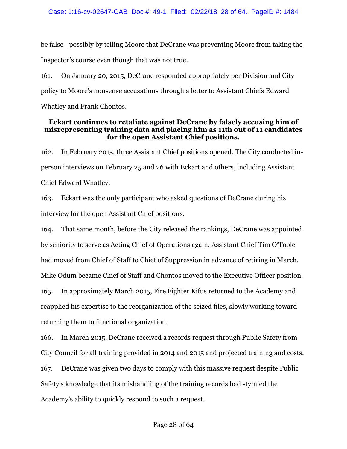be false—possibly by telling Moore that DeCrane was preventing Moore from taking the Inspector's course even though that was not true.

161. On January 20, 2015, DeCrane responded appropriately per Division and City policy to Moore's nonsense accusations through a letter to Assistant Chiefs Edward Whatley and Frank Chontos.

### **Eckart continues to retaliate against DeCrane by falsely accusing him of misrepresenting training data and placing him as 11th out of 11 candidates for the open Assistant Chief positions.**

162. In February 2015, three Assistant Chief positions opened. The City conducted inperson interviews on February 25 and 26 with Eckart and others, including Assistant Chief Edward Whatley.

163. Eckart was the only participant who asked questions of DeCrane during his interview for the open Assistant Chief positions.

164. That same month, before the City released the rankings, DeCrane was appointed by seniority to serve as Acting Chief of Operations again. Assistant Chief Tim O'Toole had moved from Chief of Staff to Chief of Suppression in advance of retiring in March. Mike Odum became Chief of Staff and Chontos moved to the Executive Officer position. 165. In approximately March 2015, Fire Fighter Kifus returned to the Academy and reapplied his expertise to the reorganization of the seized files, slowly working toward returning them to functional organization.

166. In March 2015, DeCrane received a records request through Public Safety from City Council for all training provided in 2014 and 2015 and projected training and costs. 167. DeCrane was given two days to comply with this massive request despite Public Safety's knowledge that its mishandling of the training records had stymied the Academy's ability to quickly respond to such a request.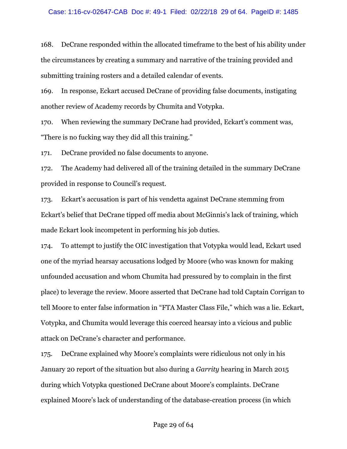168. DeCrane responded within the allocated timeframe to the best of his ability under the circumstances by creating a summary and narrative of the training provided and submitting training rosters and a detailed calendar of events.

169. In response, Eckart accused DeCrane of providing false documents, instigating another review of Academy records by Chumita and Votypka.

170. When reviewing the summary DeCrane had provided, Eckart's comment was, "There is no fucking way they did all this training."

171. DeCrane provided no false documents to anyone.

172. The Academy had delivered all of the training detailed in the summary DeCrane provided in response to Council's request.

173. Eckart's accusation is part of his vendetta against DeCrane stemming from Eckart's belief that DeCrane tipped off media about McGinnis's lack of training, which made Eckart look incompetent in performing his job duties.

174. To attempt to justify the OIC investigation that Votypka would lead, Eckart used one of the myriad hearsay accusations lodged by Moore (who was known for making unfounded accusation and whom Chumita had pressured by to complain in the first place) to leverage the review. Moore asserted that DeCrane had told Captain Corrigan to tell Moore to enter false information in "FTA Master Class File," which was a lie. Eckart, Votypka, and Chumita would leverage this coerced hearsay into a vicious and public attack on DeCrane's character and performance.

175. DeCrane explained why Moore's complaints were ridiculous not only in his January 20 report of the situation but also during a *Garrity* hearing in March 2015 during which Votypka questioned DeCrane about Moore's complaints. DeCrane explained Moore's lack of understanding of the database-creation process (in which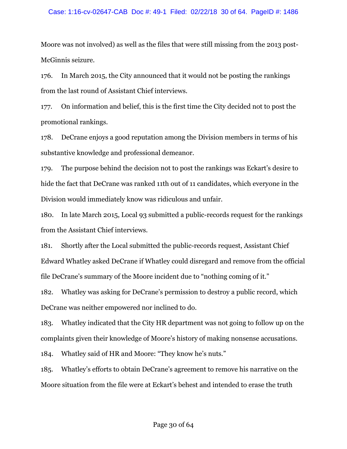#### Case: 1:16-cv-02647-CAB Doc #: 49-1 Filed: 02/22/18 30 of 64. PageID #: 1486

Moore was not involved) as well as the files that were still missing from the 2013 post-McGinnis seizure.

176. In March 2015, the City announced that it would not be posting the rankings from the last round of Assistant Chief interviews.

177. On information and belief, this is the first time the City decided not to post the promotional rankings.

178. DeCrane enjoys a good reputation among the Division members in terms of his substantive knowledge and professional demeanor.

179. The purpose behind the decision not to post the rankings was Eckart's desire to hide the fact that DeCrane was ranked 11th out of 11 candidates, which everyone in the Division would immediately know was ridiculous and unfair.

180. In late March 2015, Local 93 submitted a public-records request for the rankings from the Assistant Chief interviews.

181. Shortly after the Local submitted the public-records request, Assistant Chief Edward Whatley asked DeCrane if Whatley could disregard and remove from the official file DeCrane's summary of the Moore incident due to "nothing coming of it."

182. Whatley was asking for DeCrane's permission to destroy a public record, which DeCrane was neither empowered nor inclined to do.

183. Whatley indicated that the City HR department was not going to follow up on the complaints given their knowledge of Moore's history of making nonsense accusations.

184. Whatley said of HR and Moore: "They know he's nuts."

185. Whatley's efforts to obtain DeCrane's agreement to remove his narrative on the Moore situation from the file were at Eckart's behest and intended to erase the truth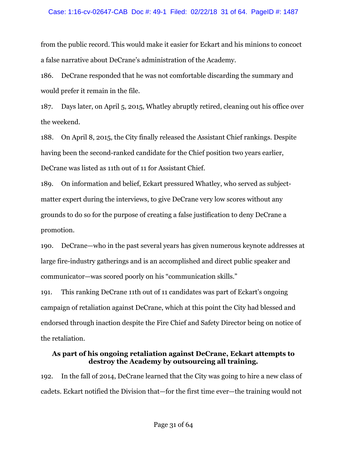#### Case: 1:16-cv-02647-CAB Doc #: 49-1 Filed: 02/22/18 31 of 64. PageID #: 1487

from the public record. This would make it easier for Eckart and his minions to concoct a false narrative about DeCrane's administration of the Academy.

186. DeCrane responded that he was not comfortable discarding the summary and would prefer it remain in the file.

187. Days later, on April 5, 2015, Whatley abruptly retired, cleaning out his office over the weekend.

188. On April 8, 2015, the City finally released the Assistant Chief rankings. Despite having been the second-ranked candidate for the Chief position two years earlier, DeCrane was listed as 11th out of 11 for Assistant Chief.

189. On information and belief, Eckart pressured Whatley, who served as subjectmatter expert during the interviews, to give DeCrane very low scores without any grounds to do so for the purpose of creating a false justification to deny DeCrane a promotion.

190. DeCrane—who in the past several years has given numerous keynote addresses at large fire-industry gatherings and is an accomplished and direct public speaker and communicator—was scored poorly on his "communication skills."

191. This ranking DeCrane 11th out of 11 candidates was part of Eckart's ongoing campaign of retaliation against DeCrane, which at this point the City had blessed and endorsed through inaction despite the Fire Chief and Safety Director being on notice of the retaliation.

### **As part of his ongoing retaliation against DeCrane, Eckart attempts to destroy the Academy by outsourcing all training.**

192. In the fall of 2014, DeCrane learned that the City was going to hire a new class of cadets. Eckart notified the Division that—for the first time ever—the training would not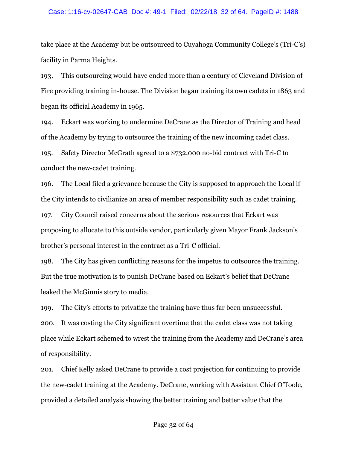#### Case: 1:16-cv-02647-CAB Doc #: 49-1 Filed: 02/22/18 32 of 64. PageID #: 1488

take place at the Academy but be outsourced to Cuyahoga Community College's (Tri-C's) facility in Parma Heights.

193. This outsourcing would have ended more than a century of Cleveland Division of Fire providing training in-house. The Division began training its own cadets in 1863 and began its official Academy in 1965.

194. Eckart was working to undermine DeCrane as the Director of Training and head of the Academy by trying to outsource the training of the new incoming cadet class.

195. Safety Director McGrath agreed to a \$732,000 no-bid contract with Tri-C to conduct the new-cadet training.

196. The Local filed a grievance because the City is supposed to approach the Local if the City intends to civilianize an area of member responsibility such as cadet training. 197. City Council raised concerns about the serious resources that Eckart was proposing to allocate to this outside vendor, particularly given Mayor Frank Jackson's brother's personal interest in the contract as a Tri-C official.

198. The City has given conflicting reasons for the impetus to outsource the training. But the true motivation is to punish DeCrane based on Eckart's belief that DeCrane leaked the McGinnis story to media.

199. The City's efforts to privatize the training have thus far been unsuccessful. 200. It was costing the City significant overtime that the cadet class was not taking place while Eckart schemed to wrest the training from the Academy and DeCrane's area of responsibility.

201. Chief Kelly asked DeCrane to provide a cost projection for continuing to provide the new-cadet training at the Academy. DeCrane, working with Assistant Chief O'Toole, provided a detailed analysis showing the better training and better value that the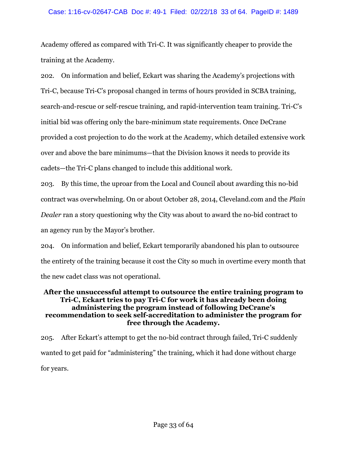#### Case: 1:16-cv-02647-CAB Doc #: 49-1 Filed: 02/22/18 33 of 64. PageID #: 1489

Academy offered as compared with Tri-C. It was significantly cheaper to provide the training at the Academy.

202. On information and belief, Eckart was sharing the Academy's projections with Tri-C, because Tri-C's proposal changed in terms of hours provided in SCBA training, search-and-rescue or self-rescue training, and rapid-intervention team training. Tri-C's initial bid was offering only the bare-minimum state requirements. Once DeCrane provided a cost projection to do the work at the Academy, which detailed extensive work over and above the bare minimums—that the Division knows it needs to provide its cadets—the Tri-C plans changed to include this additional work.

203. By this time, the uproar from the Local and Council about awarding this no-bid contract was overwhelming. On or about October 28, 2014, Cleveland.com and the *Plain Dealer* ran a story questioning why the City was about to award the no-bid contract to an agency run by the Mayor's brother.

204. On information and belief, Eckart temporarily abandoned his plan to outsource the entirety of the training because it cost the City so much in overtime every month that the new cadet class was not operational.

#### **After the unsuccessful attempt to outsource the entire training program to Tri-C, Eckart tries to pay Tri-C for work it has already been doing administering the program instead of following DeCrane's recommendation to seek self-accreditation to administer the program for free through the Academy.**

205. After Eckart's attempt to get the no-bid contract through failed, Tri-C suddenly wanted to get paid for "administering" the training, which it had done without charge for years.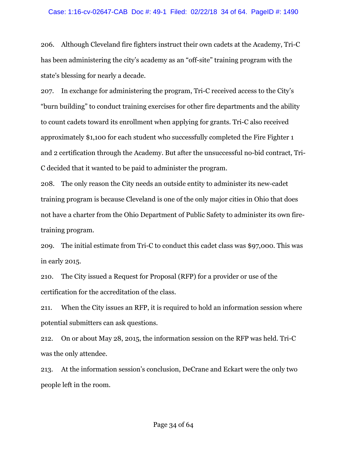#### Case: 1:16-cv-02647-CAB Doc #: 49-1 Filed: 02/22/18 34 of 64. PageID #: 1490

206. Although Cleveland fire fighters instruct their own cadets at the Academy, Tri-C has been administering the city's academy as an "off-site" training program with the state's blessing for nearly a decade.

207. In exchange for administering the program, Tri-C received access to the City's "burn building" to conduct training exercises for other fire departments and the ability to count cadets toward its enrollment when applying for grants. Tri-C also received approximately \$1,100 for each student who successfully completed the Fire Fighter 1 and 2 certification through the Academy. But after the unsuccessful no-bid contract, Tri-C decided that it wanted to be paid to administer the program.

208. The only reason the City needs an outside entity to administer its new-cadet training program is because Cleveland is one of the only major cities in Ohio that does not have a charter from the Ohio Department of Public Safety to administer its own firetraining program.

209. The initial estimate from Tri-C to conduct this cadet class was \$97,000. This was in early 2015.

210. The City issued a Request for Proposal (RFP) for a provider or use of the certification for the accreditation of the class.

211. When the City issues an RFP, it is required to hold an information session where potential submitters can ask questions.

212. On or about May 28, 2015, the information session on the RFP was held. Tri-C was the only attendee.

213. At the information session's conclusion, DeCrane and Eckart were the only two people left in the room.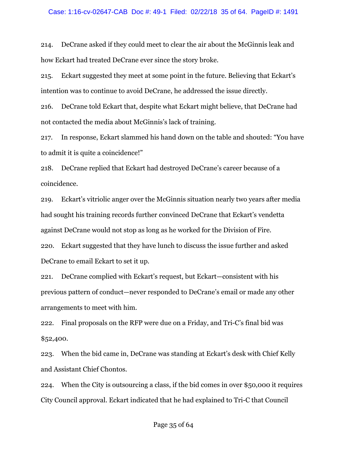214. DeCrane asked if they could meet to clear the air about the McGinnis leak and how Eckart had treated DeCrane ever since the story broke.

215. Eckart suggested they meet at some point in the future. Believing that Eckart's intention was to continue to avoid DeCrane, he addressed the issue directly.

216. DeCrane told Eckart that, despite what Eckart might believe, that DeCrane had not contacted the media about McGinnis's lack of training.

217. In response, Eckart slammed his hand down on the table and shouted: "You have to admit it is quite a coincidence!"

218. DeCrane replied that Eckart had destroyed DeCrane's career because of a coincidence.

219. Eckart's vitriolic anger over the McGinnis situation nearly two years after media had sought his training records further convinced DeCrane that Eckart's vendetta against DeCrane would not stop as long as he worked for the Division of Fire. 220. Eckart suggested that they have lunch to discuss the issue further and asked DeCrane to email Eckart to set it up.

221. DeCrane complied with Eckart's request, but Eckart—consistent with his previous pattern of conduct—never responded to DeCrane's email or made any other arrangements to meet with him.

222. Final proposals on the RFP were due on a Friday, and Tri-C's final bid was \$52,400.

223. When the bid came in, DeCrane was standing at Eckart's desk with Chief Kelly and Assistant Chief Chontos.

224. When the City is outsourcing a class, if the bid comes in over \$50,000 it requires City Council approval. Eckart indicated that he had explained to Tri-C that Council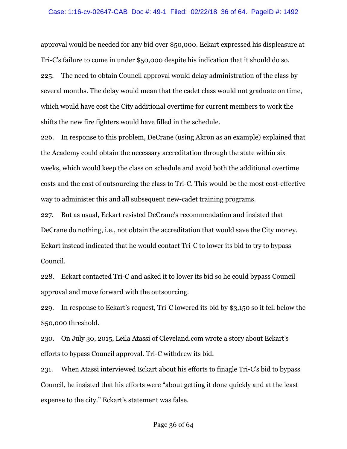#### Case: 1:16-cv-02647-CAB Doc #: 49-1 Filed: 02/22/18 36 of 64. PageID #: 1492

approval would be needed for any bid over \$50,000. Eckart expressed his displeasure at Tri-C's failure to come in under \$50,000 despite his indication that it should do so. 225. The need to obtain Council approval would delay administration of the class by several months. The delay would mean that the cadet class would not graduate on time, which would have cost the City additional overtime for current members to work the shifts the new fire fighters would have filled in the schedule.

226. In response to this problem, DeCrane (using Akron as an example) explained that the Academy could obtain the necessary accreditation through the state within six weeks, which would keep the class on schedule and avoid both the additional overtime costs and the cost of outsourcing the class to Tri-C. This would be the most cost-effective way to administer this and all subsequent new-cadet training programs.

227. But as usual, Eckart resisted DeCrane's recommendation and insisted that DeCrane do nothing, i.e., not obtain the accreditation that would save the City money. Eckart instead indicated that he would contact Tri-C to lower its bid to try to bypass Council.

228. Eckart contacted Tri-C and asked it to lower its bid so he could bypass Council approval and move forward with the outsourcing.

229. In response to Eckart's request, Tri-C lowered its bid by \$3,150 so it fell below the \$50,000 threshold.

230. On July 30, 2015, Leila Atassi of Cleveland.com wrote a story about Eckart's efforts to bypass Council approval. Tri-C withdrew its bid.

231. When Atassi interviewed Eckart about his efforts to finagle Tri-C's bid to bypass Council, he insisted that his efforts were "about getting it done quickly and at the least expense to the city." Eckart's statement was false.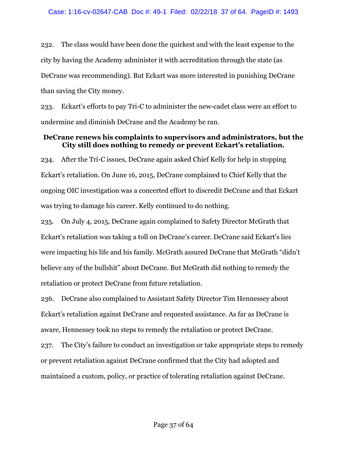232. The class would have been done the quickest and with the least expense to the city by having the Academy administer it with accreditation through the state (as DeCrane was recommending). But Eckart was more interested in punishing DeCrane than saving the City money.

233. Eckart's efforts to pay Tri-C to administer the new-cadet class were an effort to undermine and diminish DeCrane and the Academy he ran.

## **DeCrane renews his complaints to supervisors and administrators, but the City still does nothing to remedy or prevent Eckart's retaliation.**

234. After the Tri-C issues, DeCrane again asked Chief Kelly for help in stopping Eckart's retaliation. On June 16, 2015, DeCrane complained to Chief Kelly that the ongoing OIC investigation was a concerted effort to discredit DeCrane and that Eckart was trying to damage his career. Kelly continued to do nothing.

235. On July 4, 2015, DeCrane again complained to Safety Director McGrath that Eckart's retaliation was taking a toll on DeCrane's career. DeCrane said Eckart's lies were impacting his life and his family. McGrath assured DeCrane that McGrath "didn't believe any of the bullshit" about DeCrane. But McGrath did nothing to remedy the retaliation or protect DeCrane from future retaliation.

236. DeCrane also complained to Assistant Safety Director Tim Hennessey about Eckart's retaliation against DeCrane and requested assistance. As far as DeCrane is aware, Hennessey took no steps to remedy the retaliation or protect DeCrane.

237. The City's failure to conduct an investigation or take appropriate steps to remedy or prevent retaliation against DeCrane confirmed that the City had adopted and maintained a custom, policy, or practice of tolerating retaliation against DeCrane.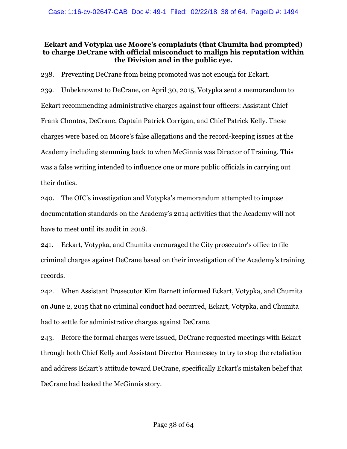## **Eckart and Votypka use Moore's complaints (that Chumita had prompted) to charge DeCrane with official misconduct to malign his reputation within the Division and in the public eye.**

238. Preventing DeCrane from being promoted was not enough for Eckart.

239. Unbeknownst to DeCrane, on April 30, 2015, Votypka sent a memorandum to Eckart recommending administrative charges against four officers: Assistant Chief Frank Chontos, DeCrane, Captain Patrick Corrigan, and Chief Patrick Kelly. These charges were based on Moore's false allegations and the record-keeping issues at the Academy including stemming back to when McGinnis was Director of Training. This was a false writing intended to influence one or more public officials in carrying out their duties.

240. The OIC's investigation and Votypka's memorandum attempted to impose documentation standards on the Academy's 2014 activities that the Academy will not have to meet until its audit in 2018.

241. Eckart, Votypka, and Chumita encouraged the City prosecutor's office to file criminal charges against DeCrane based on their investigation of the Academy's training records.

242. When Assistant Prosecutor Kim Barnett informed Eckart, Votypka, and Chumita on June 2, 2015 that no criminal conduct had occurred, Eckart, Votypka, and Chumita had to settle for administrative charges against DeCrane.

243. Before the formal charges were issued, DeCrane requested meetings with Eckart through both Chief Kelly and Assistant Director Hennessey to try to stop the retaliation and address Eckart's attitude toward DeCrane, specifically Eckart's mistaken belief that DeCrane had leaked the McGinnis story.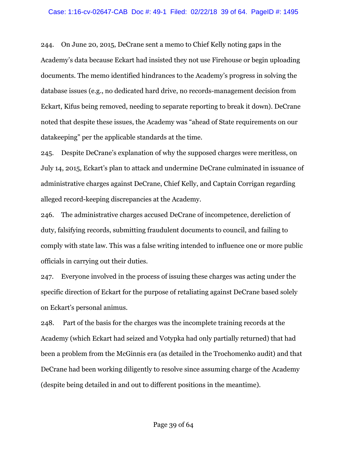244. On June 20, 2015, DeCrane sent a memo to Chief Kelly noting gaps in the Academy's data because Eckart had insisted they not use Firehouse or begin uploading documents. The memo identified hindrances to the Academy's progress in solving the database issues (e.g., no dedicated hard drive, no records-management decision from Eckart, Kifus being removed, needing to separate reporting to break it down). DeCrane noted that despite these issues, the Academy was "ahead of State requirements on our datakeeping" per the applicable standards at the time.

245. Despite DeCrane's explanation of why the supposed charges were meritless, on July 14, 2015, Eckart's plan to attack and undermine DeCrane culminated in issuance of administrative charges against DeCrane, Chief Kelly, and Captain Corrigan regarding alleged record-keeping discrepancies at the Academy.

246. The administrative charges accused DeCrane of incompetence, dereliction of duty, falsifying records, submitting fraudulent documents to council, and failing to comply with state law. This was a false writing intended to influence one or more public officials in carrying out their duties.

247. Everyone involved in the process of issuing these charges was acting under the specific direction of Eckart for the purpose of retaliating against DeCrane based solely on Eckart's personal animus.

248. Part of the basis for the charges was the incomplete training records at the Academy (which Eckart had seized and Votypka had only partially returned) that had been a problem from the McGinnis era (as detailed in the Trochomenko audit) and that DeCrane had been working diligently to resolve since assuming charge of the Academy (despite being detailed in and out to different positions in the meantime).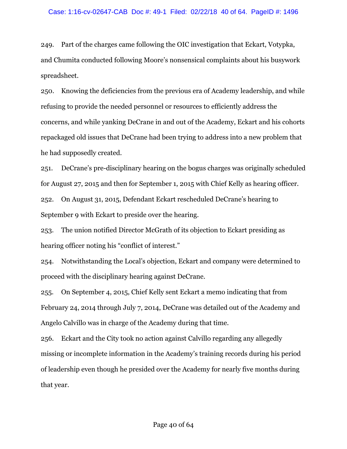249. Part of the charges came following the OIC investigation that Eckart, Votypka, and Chumita conducted following Moore's nonsensical complaints about his busywork spreadsheet.

250. Knowing the deficiencies from the previous era of Academy leadership, and while refusing to provide the needed personnel or resources to efficiently address the concerns, and while yanking DeCrane in and out of the Academy, Eckart and his cohorts repackaged old issues that DeCrane had been trying to address into a new problem that he had supposedly created.

251. DeCrane's pre-disciplinary hearing on the bogus charges was originally scheduled for August 27, 2015 and then for September 1, 2015 with Chief Kelly as hearing officer. 252. On August 31, 2015, Defendant Eckart rescheduled DeCrane's hearing to September 9 with Eckart to preside over the hearing.

253. The union notified Director McGrath of its objection to Eckart presiding as hearing officer noting his "conflict of interest."

254. Notwithstanding the Local's objection, Eckart and company were determined to proceed with the disciplinary hearing against DeCrane.

255. On September 4, 2015, Chief Kelly sent Eckart a memo indicating that from February 24, 2014 through July 7, 2014, DeCrane was detailed out of the Academy and Angelo Calvillo was in charge of the Academy during that time.

256. Eckart and the City took no action against Calvillo regarding any allegedly missing or incomplete information in the Academy's training records during his period of leadership even though he presided over the Academy for nearly five months during that year.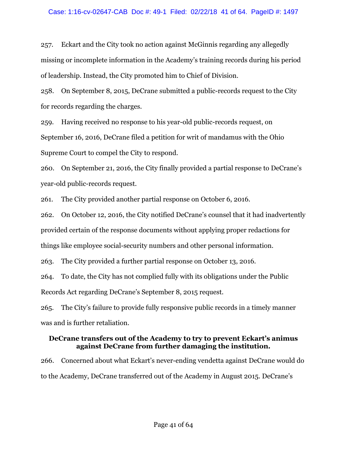#### Case: 1:16-cv-02647-CAB Doc #: 49-1 Filed: 02/22/18 41 of 64. PageID #: 1497

257. Eckart and the City took no action against McGinnis regarding any allegedly missing or incomplete information in the Academy's training records during his period of leadership. Instead, the City promoted him to Chief of Division.

258. On September 8, 2015, DeCrane submitted a public-records request to the City for records regarding the charges.

259. Having received no response to his year-old public-records request, on September 16, 2016, DeCrane filed a petition for writ of mandamus with the Ohio Supreme Court to compel the City to respond.

260. On September 21, 2016, the City finally provided a partial response to DeCrane's year-old public-records request.

261. The City provided another partial response on October 6, 2016.

262. On October 12, 2016, the City notified DeCrane's counsel that it had inadvertently provided certain of the response documents without applying proper redactions for things like employee social-security numbers and other personal information.

263. The City provided a further partial response on October 13, 2016.

264. To date, the City has not complied fully with its obligations under the Public Records Act regarding DeCrane's September 8, 2015 request.

265. The City's failure to provide fully responsive public records in a timely manner was and is further retaliation.

### **DeCrane transfers out of the Academy to try to prevent Eckart's animus against DeCrane from further damaging the institution.**

266. Concerned about what Eckart's never-ending vendetta against DeCrane would do to the Academy, DeCrane transferred out of the Academy in August 2015. DeCrane's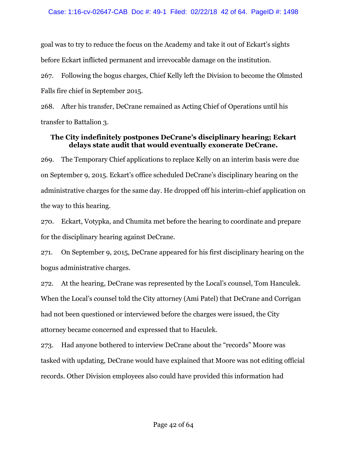goal was to try to reduce the focus on the Academy and take it out of Eckart's sights before Eckart inflicted permanent and irrevocable damage on the institution.

267. Following the bogus charges, Chief Kelly left the Division to become the Olmsted Falls fire chief in September 2015.

268. After his transfer, DeCrane remained as Acting Chief of Operations until his transfer to Battalion 3.

## **The City indefinitely postpones DeCrane's disciplinary hearing; Eckart delays state audit that would eventually exonerate DeCrane.**

269. The Temporary Chief applications to replace Kelly on an interim basis were due on September 9, 2015. Eckart's office scheduled DeCrane's disciplinary hearing on the administrative charges for the same day. He dropped off his interim-chief application on the way to this hearing.

270. Eckart, Votypka, and Chumita met before the hearing to coordinate and prepare for the disciplinary hearing against DeCrane.

271. On September 9, 2015, DeCrane appeared for his first disciplinary hearing on the bogus administrative charges.

272. At the hearing, DeCrane was represented by the Local's counsel, Tom Hanculek. When the Local's counsel told the City attorney (Ami Patel) that DeCrane and Corrigan had not been questioned or interviewed before the charges were issued, the City attorney became concerned and expressed that to Haculek.

273. Had anyone bothered to interview DeCrane about the "records" Moore was tasked with updating, DeCrane would have explained that Moore was not editing official records. Other Division employees also could have provided this information had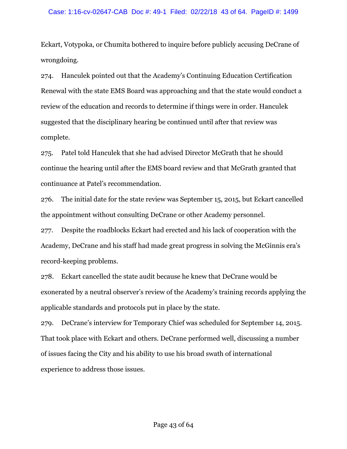Eckart, Votypoka, or Chumita bothered to inquire before publicly accusing DeCrane of wrongdoing.

274. Hanculek pointed out that the Academy's Continuing Education Certification Renewal with the state EMS Board was approaching and that the state would conduct a review of the education and records to determine if things were in order. Hanculek suggested that the disciplinary hearing be continued until after that review was complete.

275. Patel told Hanculek that she had advised Director McGrath that he should continue the hearing until after the EMS board review and that McGrath granted that continuance at Patel's recommendation.

276. The initial date for the state review was September 15, 2015, but Eckart cancelled the appointment without consulting DeCrane or other Academy personnel.

277. Despite the roadblocks Eckart had erected and his lack of cooperation with the Academy, DeCrane and his staff had made great progress in solving the McGinnis era's record-keeping problems.

278. Eckart cancelled the state audit because he knew that DeCrane would be exonerated by a neutral observer's review of the Academy's training records applying the applicable standards and protocols put in place by the state.

279. DeCrane's interview for Temporary Chief was scheduled for September 14, 2015. That took place with Eckart and others. DeCrane performed well, discussing a number of issues facing the City and his ability to use his broad swath of international experience to address those issues.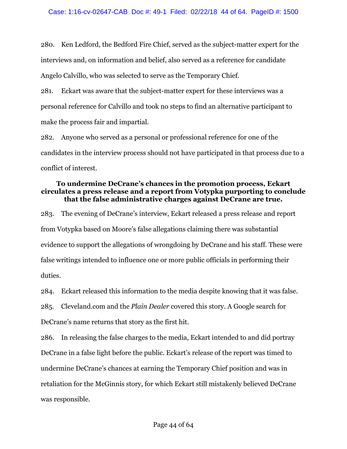280. Ken Ledford, the Bedford Fire Chief, served as the subject-matter expert for the interviews and, on information and belief, also served as a reference for candidate Angelo Calvillo, who was selected to serve as the Temporary Chief.

281. Eckart was aware that the subject-matter expert for these interviews was a personal reference for Calvillo and took no steps to find an alternative participant to make the process fair and impartial.

282. Anyone who served as a personal or professional reference for one of the candidates in the interview process should not have participated in that process due to a conflict of interest.

#### **To undermine DeCrane's chances in the promotion process, Eckart circulates a press release and a report from Votypka purporting to conclude that the false administrative charges against DeCrane are true.**

283. The evening of DeCrane's interview, Eckart released a press release and report from Votypka based on Moore's false allegations claiming there was substantial evidence to support the allegations of wrongdoing by DeCrane and his staff. These were false writings intended to influence one or more public officials in performing their duties.

284. Eckart released this information to the media despite knowing that it was false.

285. Cleveland.com and the *Plain Dealer* covered this story. A Google search for

DeCrane's name returns that story as the first hit.

286. In releasing the false charges to the media, Eckart intended to and did portray DeCrane in a false light before the public. Eckart's release of the report was timed to undermine DeCrane's chances at earning the Temporary Chief position and was in retaliation for the McGinnis story, for which Eckart still mistakenly believed DeCrane was responsible.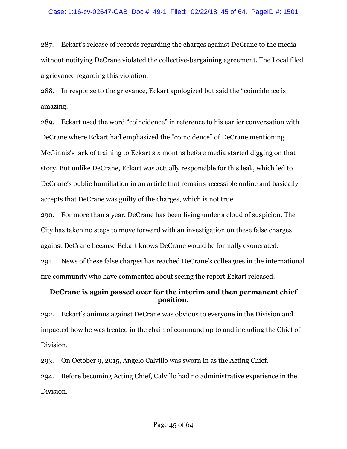287. Eckart's release of records regarding the charges against DeCrane to the media without notifying DeCrane violated the collective-bargaining agreement. The Local filed a grievance regarding this violation.

288. In response to the grievance, Eckart apologized but said the "coincidence is amazing."

289. Eckart used the word "coincidence" in reference to his earlier conversation with DeCrane where Eckart had emphasized the "coincidence" of DeCrane mentioning McGinnis's lack of training to Eckart six months before media started digging on that story. But unlike DeCrane, Eckart was actually responsible for this leak, which led to DeCrane's public humiliation in an article that remains accessible online and basically accepts that DeCrane was guilty of the charges, which is not true.

290. For more than a year, DeCrane has been living under a cloud of suspicion. The City has taken no steps to move forward with an investigation on these false charges against DeCrane because Eckart knows DeCrane would be formally exonerated. 291. News of these false charges has reached DeCrane's colleagues in the international fire community who have commented about seeing the report Eckart released.

## **DeCrane is again passed over for the interim and then permanent chief position.**

292. Eckart's animus against DeCrane was obvious to everyone in the Division and impacted how he was treated in the chain of command up to and including the Chief of Division.

293. On October 9, 2015, Angelo Calvillo was sworn in as the Acting Chief. 294. Before becoming Acting Chief, Calvillo had no administrative experience in the Division.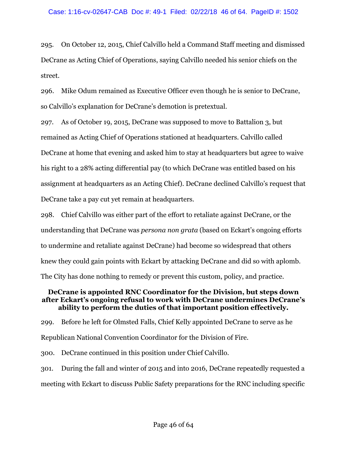295. On October 12, 2015, Chief Calvillo held a Command Staff meeting and dismissed DeCrane as Acting Chief of Operations, saying Calvillo needed his senior chiefs on the street.

296. Mike Odum remained as Executive Officer even though he is senior to DeCrane, so Calvillo's explanation for DeCrane's demotion is pretextual.

297. As of October 19, 2015, DeCrane was supposed to move to Battalion 3, but remained as Acting Chief of Operations stationed at headquarters. Calvillo called DeCrane at home that evening and asked him to stay at headquarters but agree to waive his right to a 28% acting differential pay (to which DeCrane was entitled based on his assignment at headquarters as an Acting Chief). DeCrane declined Calvillo's request that DeCrane take a pay cut yet remain at headquarters.

298. Chief Calvillo was either part of the effort to retaliate against DeCrane, or the understanding that DeCrane was *persona non grata* (based on Eckart's ongoing efforts to undermine and retaliate against DeCrane) had become so widespread that others knew they could gain points with Eckart by attacking DeCrane and did so with aplomb. The City has done nothing to remedy or prevent this custom, policy, and practice.

#### **DeCrane is appointed RNC Coordinator for the Division, but steps down after Eckart's ongoing refusal to work with DeCrane undermines DeCrane's ability to perform the duties of that important position effectively.**

299. Before he left for Olmsted Falls, Chief Kelly appointed DeCrane to serve as he Republican National Convention Coordinator for the Division of Fire.

300. DeCrane continued in this position under Chief Calvillo.

301. During the fall and winter of 2015 and into 2016, DeCrane repeatedly requested a meeting with Eckart to discuss Public Safety preparations for the RNC including specific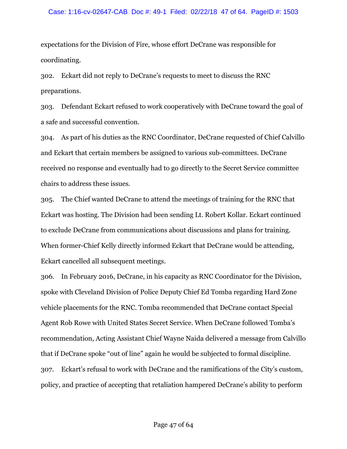#### Case: 1:16-cv-02647-CAB Doc #: 49-1 Filed: 02/22/18 47 of 64. PageID #: 1503

expectations for the Division of Fire, whose effort DeCrane was responsible for coordinating.

302. Eckart did not reply to DeCrane's requests to meet to discuss the RNC preparations.

303. Defendant Eckart refused to work cooperatively with DeCrane toward the goal of a safe and successful convention.

304. As part of his duties as the RNC Coordinator, DeCrane requested of Chief Calvillo and Eckart that certain members be assigned to various sub-committees. DeCrane received no response and eventually had to go directly to the Secret Service committee chairs to address these issues.

305. The Chief wanted DeCrane to attend the meetings of training for the RNC that Eckart was hosting. The Division had been sending Lt. Robert Kollar. Eckart continued to exclude DeCrane from communications about discussions and plans for training. When former-Chief Kelly directly informed Eckart that DeCrane would be attending, Eckart cancelled all subsequent meetings.

306. In February 2016, DeCrane, in his capacity as RNC Coordinator for the Division, spoke with Cleveland Division of Police Deputy Chief Ed Tomba regarding Hard Zone vehicle placements for the RNC. Tomba recommended that DeCrane contact Special Agent Rob Rowe with United States Secret Service. When DeCrane followed Tomba's recommendation, Acting Assistant Chief Wayne Naida delivered a message from Calvillo that if DeCrane spoke "out of line" again he would be subjected to formal discipline. 307. Eckart's refusal to work with DeCrane and the ramifications of the City's custom, policy, and practice of accepting that retaliation hampered DeCrane's ability to perform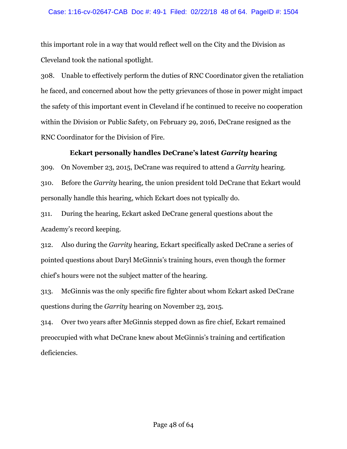this important role in a way that would reflect well on the City and the Division as Cleveland took the national spotlight.

308. Unable to effectively perform the duties of RNC Coordinator given the retaliation he faced, and concerned about how the petty grievances of those in power might impact the safety of this important event in Cleveland if he continued to receive no cooperation within the Division or Public Safety, on February 29, 2016, DeCrane resigned as the RNC Coordinator for the Division of Fire.

# **Eckart personally handles DeCrane's latest** *Garrity* **hearing**

309. On November 23, 2015, DeCrane was required to attend a *Garrity* hearing.

310. Before the *Garrity* hearing, the union president told DeCrane that Eckart would personally handle this hearing, which Eckart does not typically do.

311. During the hearing, Eckart asked DeCrane general questions about the Academy's record keeping.

312. Also during the *Garrity* hearing, Eckart specifically asked DeCrane a series of pointed questions about Daryl McGinnis's training hours, even though the former chief's hours were not the subject matter of the hearing.

313. McGinnis was the only specific fire fighter about whom Eckart asked DeCrane questions during the *Garrity* hearing on November 23, 2015.

314. Over two years after McGinnis stepped down as fire chief, Eckart remained preoccupied with what DeCrane knew about McGinnis's training and certification deficiencies.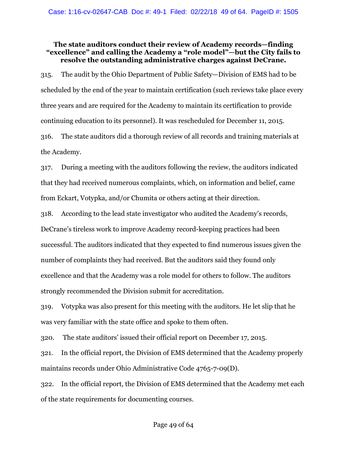## **The state auditors conduct their review of Academy records—finding "excellence" and calling the Academy a "role model"—but the City fails to resolve the outstanding administrative charges against DeCrane.**

315. The audit by the Ohio Department of Public Safety—Division of EMS had to be scheduled by the end of the year to maintain certification (such reviews take place every three years and are required for the Academy to maintain its certification to provide continuing education to its personnel). It was rescheduled for December 11, 2015. 316. The state auditors did a thorough review of all records and training materials at

the Academy.

317. During a meeting with the auditors following the review, the auditors indicated that they had received numerous complaints, which, on information and belief, came from Eckart, Votypka, and/or Chumita or others acting at their direction.

318. According to the lead state investigator who audited the Academy's records, DeCrane's tireless work to improve Academy record-keeping practices had been successful. The auditors indicated that they expected to find numerous issues given the number of complaints they had received. But the auditors said they found only excellence and that the Academy was a role model for others to follow. The auditors strongly recommended the Division submit for accreditation.

319. Votypka was also present for this meeting with the auditors. He let slip that he was very familiar with the state office and spoke to them often.

320. The state auditors' issued their official report on December 17, 2015.

321. In the official report, the Division of EMS determined that the Academy properly maintains records under Ohio Administrative Code 4765-7-09(D).

322. In the official report, the Division of EMS determined that the Academy met each of the state requirements for documenting courses.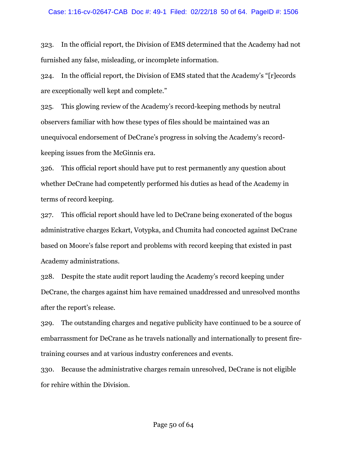323. In the official report, the Division of EMS determined that the Academy had not furnished any false, misleading, or incomplete information.

324. In the official report, the Division of EMS stated that the Academy's "[r]ecords are exceptionally well kept and complete."

325. This glowing review of the Academy's record-keeping methods by neutral observers familiar with how these types of files should be maintained was an unequivocal endorsement of DeCrane's progress in solving the Academy's recordkeeping issues from the McGinnis era.

326. This official report should have put to rest permanently any question about whether DeCrane had competently performed his duties as head of the Academy in terms of record keeping.

327. This official report should have led to DeCrane being exonerated of the bogus administrative charges Eckart, Votypka, and Chumita had concocted against DeCrane based on Moore's false report and problems with record keeping that existed in past Academy administrations.

328. Despite the state audit report lauding the Academy's record keeping under DeCrane, the charges against him have remained unaddressed and unresolved months after the report's release.

329. The outstanding charges and negative publicity have continued to be a source of embarrassment for DeCrane as he travels nationally and internationally to present firetraining courses and at various industry conferences and events.

330. Because the administrative charges remain unresolved, DeCrane is not eligible for rehire within the Division.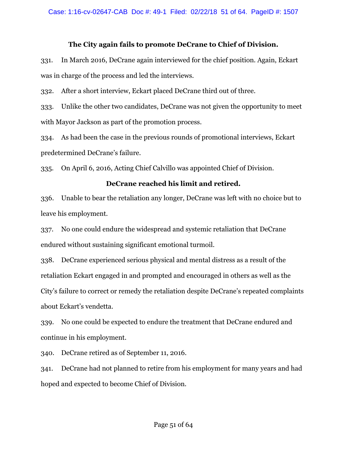#### **The City again fails to promote DeCrane to Chief of Division.**

331. In March 2016, DeCrane again interviewed for the chief position. Again, Eckart was in charge of the process and led the interviews.

332. After a short interview, Eckart placed DeCrane third out of three.

333. Unlike the other two candidates, DeCrane was not given the opportunity to meet with Mayor Jackson as part of the promotion process.

334. As had been the case in the previous rounds of promotional interviews, Eckart predetermined DeCrane's failure.

335. On April 6, 2016, Acting Chief Calvillo was appointed Chief of Division.

#### **DeCrane reached his limit and retired.**

336. Unable to bear the retaliation any longer, DeCrane was left with no choice but to leave his employment.

337. No one could endure the widespread and systemic retaliation that DeCrane endured without sustaining significant emotional turmoil.

338. DeCrane experienced serious physical and mental distress as a result of the retaliation Eckart engaged in and prompted and encouraged in others as well as the City's failure to correct or remedy the retaliation despite DeCrane's repeated complaints about Eckart's vendetta.

339. No one could be expected to endure the treatment that DeCrane endured and continue in his employment.

340. DeCrane retired as of September 11, 2016.

341. DeCrane had not planned to retire from his employment for many years and had hoped and expected to become Chief of Division.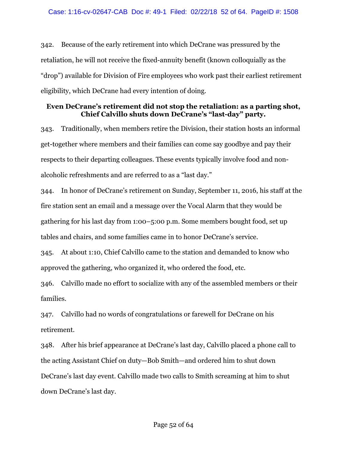342. Because of the early retirement into which DeCrane was pressured by the retaliation, he will not receive the fixed-annuity benefit (known colloquially as the "drop") available for Division of Fire employees who work past their earliest retirement eligibility, which DeCrane had every intention of doing.

#### **Even DeCrane's retirement did not stop the retaliation: as a parting shot, Chief Calvillo shuts down DeCrane's "last-day" party.**

343. Traditionally, when members retire the Division, their station hosts an informal get-together where members and their families can come say goodbye and pay their respects to their departing colleagues. These events typically involve food and nonalcoholic refreshments and are referred to as a "last day."

344. In honor of DeCrane's retirement on Sunday, September 11, 2016, his staff at the fire station sent an email and a message over the Vocal Alarm that they would be gathering for his last day from 1:00–5:00 p.m. Some members bought food, set up tables and chairs, and some families came in to honor DeCrane's service.

345. At about 1:10, Chief Calvillo came to the station and demanded to know who approved the gathering, who organized it, who ordered the food, etc.

346. Calvillo made no effort to socialize with any of the assembled members or their families.

347. Calvillo had no words of congratulations or farewell for DeCrane on his retirement.

348. After his brief appearance at DeCrane's last day, Calvillo placed a phone call to the acting Assistant Chief on duty—Bob Smith—and ordered him to shut down DeCrane's last day event. Calvillo made two calls to Smith screaming at him to shut down DeCrane's last day.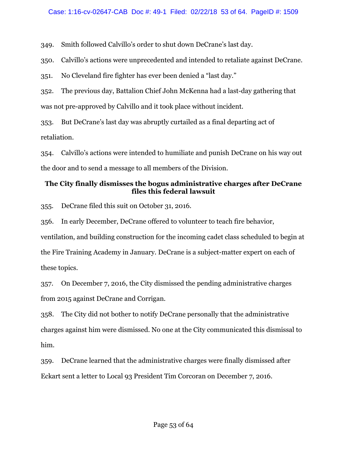349. Smith followed Calvillo's order to shut down DeCrane's last day.

350. Calvillo's actions were unprecedented and intended to retaliate against DeCrane.

351. No Cleveland fire fighter has ever been denied a "last day."

352. The previous day, Battalion Chief John McKenna had a last-day gathering that was not pre-approved by Calvillo and it took place without incident.

353. But DeCrane's last day was abruptly curtailed as a final departing act of retaliation.

354. Calvillo's actions were intended to humiliate and punish DeCrane on his way out the door and to send a message to all members of the Division.

# **The City finally dismisses the bogus administrative charges after DeCrane files this federal lawsuit**

355. DeCrane filed this suit on October 31, 2016.

356. In early December, DeCrane offered to volunteer to teach fire behavior,

ventilation, and building construction for the incoming cadet class scheduled to begin at the Fire Training Academy in January. DeCrane is a subject-matter expert on each of these topics.

357. On December 7, 2016, the City dismissed the pending administrative charges from 2015 against DeCrane and Corrigan.

358. The City did not bother to notify DeCrane personally that the administrative charges against him were dismissed. No one at the City communicated this dismissal to him.

359. DeCrane learned that the administrative charges were finally dismissed after Eckart sent a letter to Local 93 President Tim Corcoran on December 7, 2016.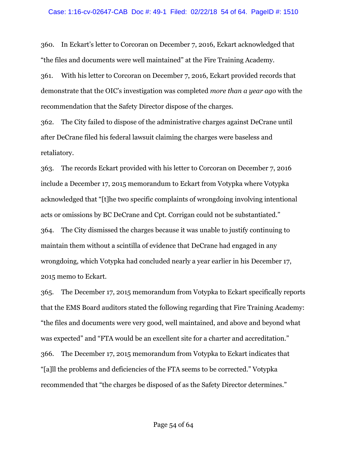360. In Eckart's letter to Corcoran on December 7, 2016, Eckart acknowledged that "the files and documents were well maintained" at the Fire Training Academy.

361. With his letter to Corcoran on December 7, 2016, Eckart provided records that demonstrate that the OIC's investigation was completed *more than a year ago* with the recommendation that the Safety Director dispose of the charges.

362. The City failed to dispose of the administrative charges against DeCrane until after DeCrane filed his federal lawsuit claiming the charges were baseless and retaliatory.

363. The records Eckart provided with his letter to Corcoran on December 7, 2016 include a December 17, 2015 memorandum to Eckart from Votypka where Votypka acknowledged that "[t]he two specific complaints of wrongdoing involving intentional acts or omissions by BC DeCrane and Cpt. Corrigan could not be substantiated." 364. The City dismissed the charges because it was unable to justify continuing to maintain them without a scintilla of evidence that DeCrane had engaged in any wrongdoing, which Votypka had concluded nearly a year earlier in his December 17, 2015 memo to Eckart.

365. The December 17, 2015 memorandum from Votypka to Eckart specifically reports that the EMS Board auditors stated the following regarding that Fire Training Academy: "the files and documents were very good, well maintained, and above and beyond what was expected" and "FTA would be an excellent site for a charter and accreditation." 366. The December 17, 2015 memorandum from Votypka to Eckart indicates that "[a]ll the problems and deficiencies of the FTA seems to be corrected." Votypka recommended that "the charges be disposed of as the Safety Director determines."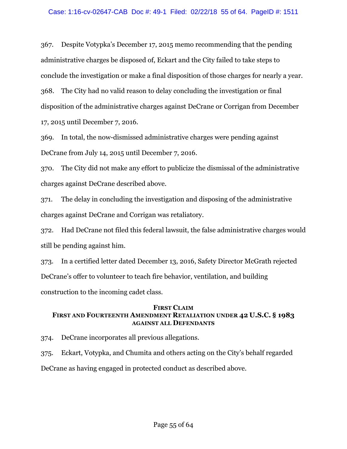367. Despite Votypka's December 17, 2015 memo recommending that the pending administrative charges be disposed of, Eckart and the City failed to take steps to conclude the investigation or make a final disposition of those charges for nearly a year. 368. The City had no valid reason to delay concluding the investigation or final disposition of the administrative charges against DeCrane or Corrigan from December 17, 2015 until December 7, 2016.

369. In total, the now-dismissed administrative charges were pending against DeCrane from July 14, 2015 until December 7, 2016.

370. The City did not make any effort to publicize the dismissal of the administrative charges against DeCrane described above.

371. The delay in concluding the investigation and disposing of the administrative charges against DeCrane and Corrigan was retaliatory.

372. Had DeCrane not filed this federal lawsuit, the false administrative charges would still be pending against him.

373. In a certified letter dated December 13, 2016, Safety Director McGrath rejected DeCrane's offer to volunteer to teach fire behavior, ventilation, and building construction to the incoming cadet class.

#### **FIRST CLAIM FIRST AND FOURTEENTH AMENDMENT RETALIATION UNDER 42 U.S.C. § 1983 AGAINST ALL DEFENDANTS**

374. DeCrane incorporates all previous allegations.

375. Eckart, Votypka, and Chumita and others acting on the City's behalf regarded

DeCrane as having engaged in protected conduct as described above.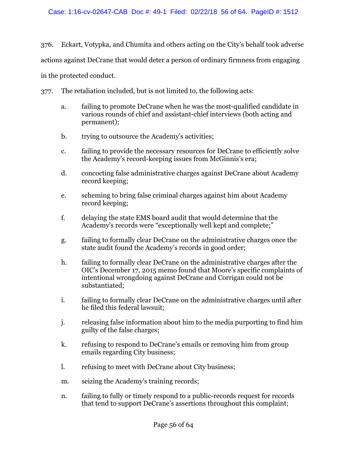376. Eckart, Votypka, and Chumita and others acting on the City's behalf took adverse actions against DeCrane that would deter a person of ordinary firmness from engaging in the protected conduct.

377. The retaliation included, but is not limited to, the following acts:

- a. failing to promote DeCrane when he was the most-qualified candidate in various rounds of chief and assistant-chief interviews (both acting and permanent);
- b. trying to outsource the Academy's activities;
- c. failing to provide the necessary resources for DeCrane to efficiently solve the Academy's record-keeping issues from McGinnis's era;
- d. concocting false administrative charges against DeCrane about Academy record keeping;
- e. scheming to bring false criminal charges against him about Academy record keeping;
- f. delaying the state EMS board audit that would determine that the Academy's records were "exceptionally well kept and complete;"
- g. failing to formally clear DeCrane on the administrative charges once the state audit found the Academy's records in good order;
- h. failing to formally clear DeCrane on the administrative charges after the OIC's December 17, 2015 memo found that Moore's specific complaints of intentional wrongdoing against DeCrane and Corrigan could not be substantiated;
- i. failing to formally clear DeCrane on the administrative charges until after he filed this federal lawsuit;
- j. releasing false information about him to the media purporting to find him guilty of the false charges;
- k. refusing to respond to DeCrane's emails or removing him from group emails regarding City business;
- l. refusing to meet with DeCrane about City business;
- m. seizing the Academy's training records;
- n. failing to fully or timely respond to a public-records request for records that tend to support DeCrane's assertions throughout this complaint;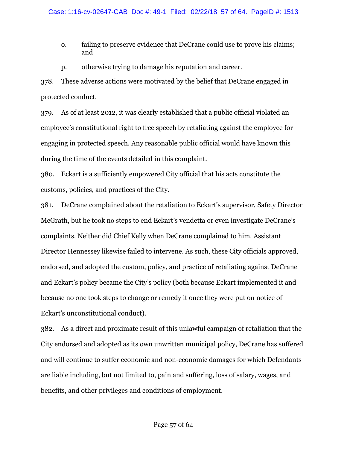- o. failing to preserve evidence that DeCrane could use to prove his claims; and
- p. otherwise trying to damage his reputation and career.

378. These adverse actions were motivated by the belief that DeCrane engaged in protected conduct.

379. As of at least 2012, it was clearly established that a public official violated an employee's constitutional right to free speech by retaliating against the employee for engaging in protected speech. Any reasonable public official would have known this during the time of the events detailed in this complaint.

380. Eckart is a sufficiently empowered City official that his acts constitute the customs, policies, and practices of the City.

381. DeCrane complained about the retaliation to Eckart's supervisor, Safety Director McGrath, but he took no steps to end Eckart's vendetta or even investigate DeCrane's complaints. Neither did Chief Kelly when DeCrane complained to him. Assistant Director Hennessey likewise failed to intervene. As such, these City officials approved, endorsed, and adopted the custom, policy, and practice of retaliating against DeCrane and Eckart's policy became the City's policy (both because Eckart implemented it and because no one took steps to change or remedy it once they were put on notice of Eckart's unconstitutional conduct).

382. As a direct and proximate result of this unlawful campaign of retaliation that the City endorsed and adopted as its own unwritten municipal policy, DeCrane has suffered and will continue to suffer economic and non-economic damages for which Defendants are liable including, but not limited to, pain and suffering, loss of salary, wages, and benefits, and other privileges and conditions of employment.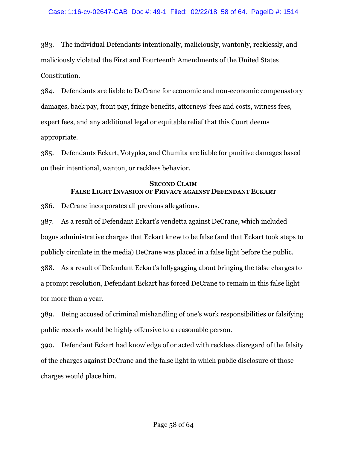383. The individual Defendants intentionally, maliciously, wantonly, recklessly, and maliciously violated the First and Fourteenth Amendments of the United States Constitution.

384. Defendants are liable to DeCrane for economic and non-economic compensatory damages, back pay, front pay, fringe benefits, attorneys' fees and costs, witness fees, expert fees, and any additional legal or equitable relief that this Court deems appropriate.

385. Defendants Eckart, Votypka, and Chumita are liable for punitive damages based on their intentional, wanton, or reckless behavior.

# **SECOND CLAIM FALSE LIGHT INVASION OF PRIVACY AGAINST DEFENDANT ECKART**

386. DeCrane incorporates all previous allegations.

387. As a result of Defendant Eckart's vendetta against DeCrane, which included bogus administrative charges that Eckart knew to be false (and that Eckart took steps to publicly circulate in the media) DeCrane was placed in a false light before the public. 388. As a result of Defendant Eckart's lollygagging about bringing the false charges to a prompt resolution, Defendant Eckart has forced DeCrane to remain in this false light for more than a year.

389. Being accused of criminal mishandling of one's work responsibilities or falsifying public records would be highly offensive to a reasonable person.

390. Defendant Eckart had knowledge of or acted with reckless disregard of the falsity of the charges against DeCrane and the false light in which public disclosure of those charges would place him.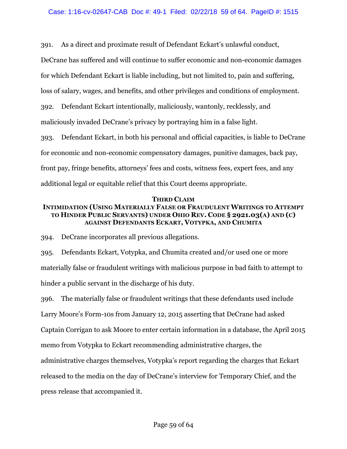391. As a direct and proximate result of Defendant Eckart's unlawful conduct,

DeCrane has suffered and will continue to suffer economic and non-economic damages

for which Defendant Eckart is liable including, but not limited to, pain and suffering,

loss of salary, wages, and benefits, and other privileges and conditions of employment.

392. Defendant Eckart intentionally, maliciously, wantonly, recklessly, and maliciously invaded DeCrane's privacy by portraying him in a false light.

393. Defendant Eckart, in both his personal and official capacities, is liable to DeCrane for economic and non-economic compensatory damages, punitive damages, back pay, front pay, fringe benefits, attorneys' fees and costs, witness fees, expert fees, and any additional legal or equitable relief that this Court deems appropriate.

#### **THIRD CLAIM**

### **INTIMIDATION (USING MATERIALLY FALSE OR FRAUDULENT WRITINGS TO ATTEMPT TO HINDER PUBLIC SERVANTS) UNDER OHIO REV. CODE § 2921.03(A) AND (C) AGAINST DEFENDANTS ECKART, VOTYPKA, AND CHUMITA**

394. DeCrane incorporates all previous allegations.

395. Defendants Eckart, Votypka, and Chumita created and/or used one or more materially false or fraudulent writings with malicious purpose in bad faith to attempt to hinder a public servant in the discharge of his duty.

396. The materially false or fraudulent writings that these defendants used include Larry Moore's Form-10s from January 12, 2015 asserting that DeCrane had asked Captain Corrigan to ask Moore to enter certain information in a database, the April 2015 memo from Votypka to Eckart recommending administrative charges, the administrative charges themselves, Votypka's report regarding the charges that Eckart released to the media on the day of DeCrane's interview for Temporary Chief, and the press release that accompanied it.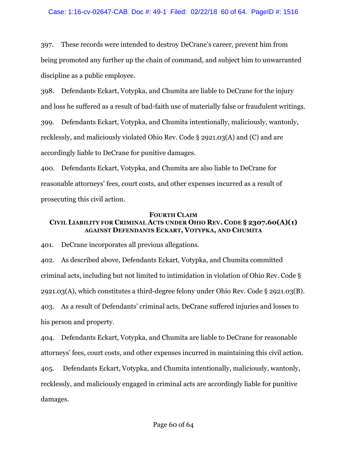#### Case: 1:16-cv-02647-CAB Doc #: 49-1 Filed: 02/22/18 60 of 64. PageID #: 1516

397. These records were intended to destroy DeCrane's career, prevent him from being promoted any further up the chain of command, and subject him to unwarranted discipline as a public employee.

398. Defendants Eckart, Votypka, and Chumita are liable to DeCrane for the injury and loss he suffered as a result of bad-faith use of materially false or fraudulent writings. 399. Defendants Eckart, Votypka, and Chumita intentionally, maliciously, wantonly, recklessly, and maliciously violated Ohio Rev. Code § 2921.03(A) and (C) and are

accordingly liable to DeCrane for punitive damages.

400. Defendants Eckart, Votypka, and Chumita are also liable to DeCrane for reasonable attorneys' fees, court costs, and other expenses incurred as a result of prosecuting this civil action.

#### **FOURTH CLAIM**

# **CIVIL LIABILITY FOR CRIMINAL ACTS UNDER OHIO REV. CODE § 2307.60(A)(1) AGAINST DEFENDANTS ECKART, VOTYPKA, AND CHUMITA**

401. DeCrane incorporates all previous allegations.

402. As described above, Defendants Eckart, Votypka, and Chumita committed criminal acts, including but not limited to intimidation in violation of Ohio Rev. Code § 2921.03(A), which constitutes a third-degree felony under Ohio Rev. Code § 2921.03(B). 403. As a result of Defendants' criminal acts, DeCrane suffered injuries and losses to his person and property.

404. Defendants Eckart, Votypka, and Chumita are liable to DeCrane for reasonable attorneys' fees, court costs, and other expenses incurred in maintaining this civil action. 405. Defendants Eckart, Votypka, and Chumita intentionally, maliciously, wantonly, recklessly, and maliciously engaged in criminal acts are accordingly liable for punitive damages.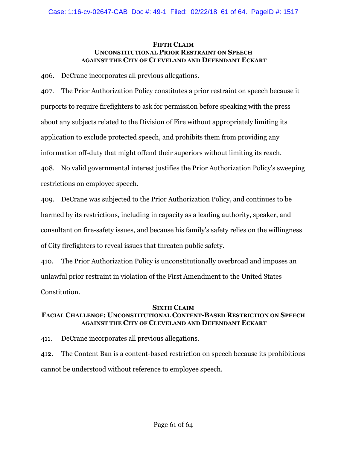#### **FIFTH CLAIM UNCONSTITUTIONAL PRIOR RESTRAINT ON SPEECH AGAINST THE CITY OF CLEVELAND AND DEFENDANT ECKART**

406. DeCrane incorporates all previous allegations.

407. The Prior Authorization Policy constitutes a prior restraint on speech because it purports to require firefighters to ask for permission before speaking with the press about any subjects related to the Division of Fire without appropriately limiting its application to exclude protected speech, and prohibits them from providing any information off-duty that might offend their superiors without limiting its reach. 408. No valid governmental interest justifies the Prior Authorization Policy's sweeping restrictions on employee speech.

409. DeCrane was subjected to the Prior Authorization Policy, and continues to be harmed by its restrictions, including in capacity as a leading authority, speaker, and consultant on fire-safety issues, and because his family's safety relies on the willingness of City firefighters to reveal issues that threaten public safety.

410. The Prior Authorization Policy is unconstitutionally overbroad and imposes an unlawful prior restraint in violation of the First Amendment to the United States Constitution.

#### **SIXTH CLAIM**

## **FACIAL CHALLENGE: UNCONSTITUTIONAL CONTENT-BASED RESTRICTION ON SPEECH AGAINST THE CITY OF CLEVELAND AND DEFENDANT ECKART**

411. DeCrane incorporates all previous allegations.

412. The Content Ban is a content-based restriction on speech because its prohibitions cannot be understood without reference to employee speech.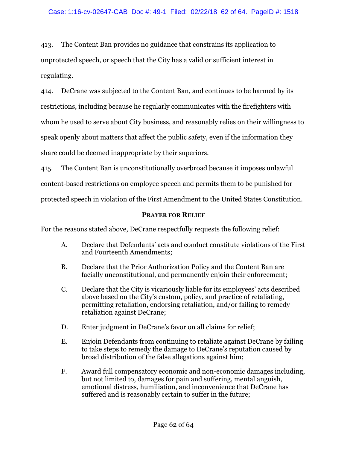413. The Content Ban provides no guidance that constrains its application to unprotected speech, or speech that the City has a valid or sufficient interest in regulating.

414. DeCrane was subjected to the Content Ban, and continues to be harmed by its restrictions, including because he regularly communicates with the firefighters with whom he used to serve about City business, and reasonably relies on their willingness to speak openly about matters that affect the public safety, even if the information they share could be deemed inappropriate by their superiors.

415. The Content Ban is unconstitutionally overbroad because it imposes unlawful content-based restrictions on employee speech and permits them to be punished for protected speech in violation of the First Amendment to the United States Constitution.

## **PRAYER FOR RELIEF**

For the reasons stated above, DeCrane respectfully requests the following relief:

- A. Declare that Defendants' acts and conduct constitute violations of the First and Fourteenth Amendments;
- B. Declare that the Prior Authorization Policy and the Content Ban are facially unconstitutional, and permanently enjoin their enforcement;
- C. Declare that the City is vicariously liable for its employees' acts described above based on the City's custom, policy, and practice of retaliating, permitting retaliation, endorsing retaliation, and/or failing to remedy retaliation against DeCrane;
- D. Enter judgment in DeCrane's favor on all claims for relief;
- E. Enjoin Defendants from continuing to retaliate against DeCrane by failing to take steps to remedy the damage to DeCrane's reputation caused by broad distribution of the false allegations against him;
- F. Award full compensatory economic and non-economic damages including, but not limited to, damages for pain and suffering, mental anguish, emotional distress, humiliation, and inconvenience that DeCrane has suffered and is reasonably certain to suffer in the future;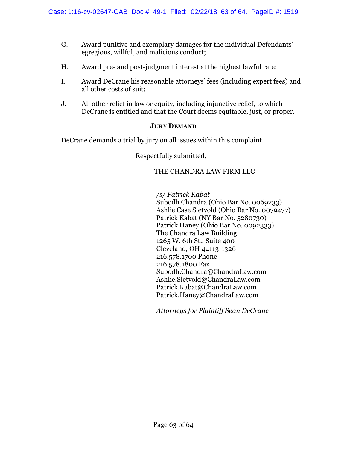- G. Award punitive and exemplary damages for the individual Defendants' egregious, willful, and malicious conduct;
- H. Award pre- and post-judgment interest at the highest lawful rate;
- I. Award DeCrane his reasonable attorneys' fees (including expert fees) and all other costs of suit;
- J. All other relief in law or equity, including injunctive relief, to which DeCrane is entitled and that the Court deems equitable, just, or proper.

#### **JURY DEMAND**

DeCrane demands a trial by jury on all issues within this complaint.

Respectfully submitted,

## THE CHANDRA LAW FIRM LLC

*/s/ Patrick Kabat*

Subodh Chandra (Ohio Bar No. 0069233) Ashlie Case Sletvold (Ohio Bar No. 0079477) Patrick Kabat (NY Bar No. 5280730) Patrick Haney (Ohio Bar No. 0092333) The Chandra Law Building 1265 W. 6th St., Suite 400 Cleveland, OH 44113-1326 216.578.1700 Phone 216.578.1800 Fax Subodh.Chandra@ChandraLaw.com Ashlie.Sletvold@ChandraLaw.com Patrick.Kabat@ChandraLaw.com Patrick.Haney@ChandraLaw.com

*Attorneys for Plaintiff Sean DeCrane*